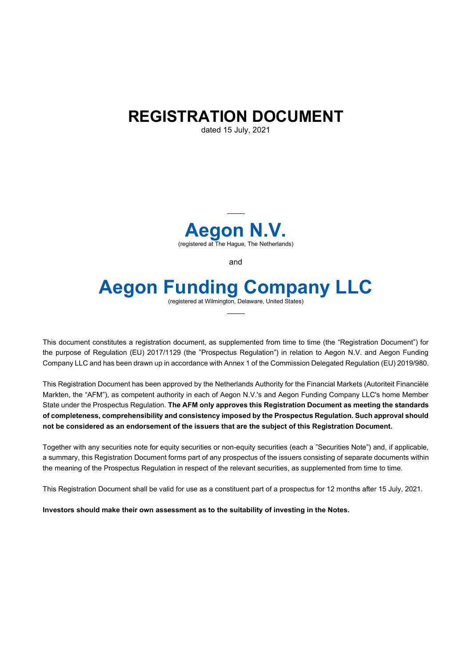# **REGISTRATION DOCUMENT**

dated 15 July, 2021



and

# **Aegon Funding Company LLC**

(registered at Wilmington, Delaware, United States)

This document constitutes a registration document, as supplemented from time to time (the "Registration Document") for the purpose of Regulation (EU) 2017/1129 (the "Prospectus Regulation") in relation to Aegon N.V. and Aegon Funding Company LLC and has been drawn up in accordance with Annex 1 of the Commission Delegated Regulation (EU) 2019/980.

This Registration Document has been approved by the Netherlands Authority for the Financial Markets (Autoriteit Financiële Markten, the "AFM"), as competent authority in each of Aegon N.V.'s and Aegon Funding Company LLC's home Member State under the Prospectus Regulation. **The AFM only approves this Registration Document as meeting the standards of completeness, comprehensibility and consistency imposed by the Prospectus Regulation. Such approval should not be considered as an endorsement of the issuers that are the subject of this Registration Document.** 

Together with any securities note for equity securities or non-equity securities (each a "Securities Note") and, if applicable, a summary, this Registration Document forms part of any prospectus of the issuers consisting of separate documents within the meaning of the Prospectus Regulation in respect of the relevant securities, as supplemented from time to time.

This Registration Document shall be valid for use as a constituent part of a prospectus for 12 months after 15 July, 2021.

**Investors should make their own assessment as to the suitability of investing in the Notes.**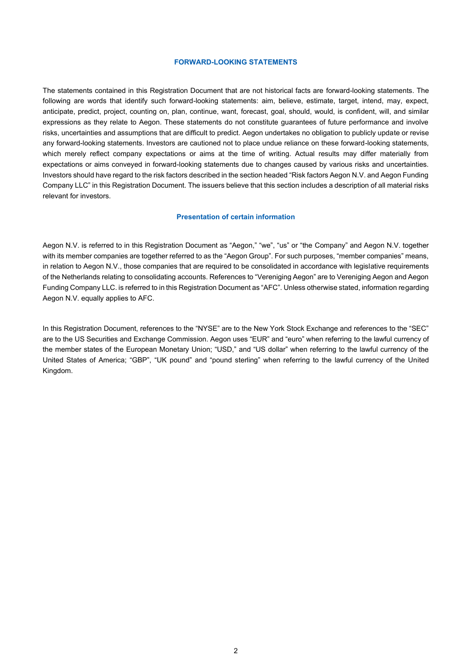#### **FORWARD-LOOKING STATEMENTS**

The statements contained in this Registration Document that are not historical facts are forward-looking statements. The following are words that identify such forward-looking statements: aim, believe, estimate, target, intend, may, expect, anticipate, predict, project, counting on, plan, continue, want, forecast, goal, should, would, is confident, will, and similar expressions as they relate to Aegon. These statements do not constitute guarantees of future performance and involve risks, uncertainties and assumptions that are difficult to predict. Aegon undertakes no obligation to publicly update or revise any forward-looking statements. Investors are cautioned not to place undue reliance on these forward-looking statements, which merely reflect company expectations or aims at the time of writing. Actual results may differ materially from expectations or aims conveyed in forward-looking statements due to changes caused by various risks and uncertainties. Investors should have regard to the risk factors described in the section headed "Risk factors Aegon N.V. and Aegon Funding Company LLC" in this Registration Document. The issuers believe that this section includes a description of all material risks relevant for investors.

#### **Presentation of certain information**

Aegon N.V. is referred to in this Registration Document as "Aegon," "we", "us" or "the Company" and Aegon N.V. together with its member companies are together referred to as the "Aegon Group". For such purposes, "member companies" means, in relation to Aegon N.V., those companies that are required to be consolidated in accordance with legislative requirements of the Netherlands relating to consolidating accounts. References to "Vereniging Aegon" are to Vereniging Aegon and Aegon Funding Company LLC. is referred to in this Registration Document as "AFC". Unless otherwise stated, information regarding Aegon N.V. equally applies to AFC.

In this Registration Document, references to the "NYSE" are to the New York Stock Exchange and references to the "SEC" are to the US Securities and Exchange Commission. Aegon uses "EUR" and "euro" when referring to the lawful currency of the member states of the European Monetary Union; "USD," and "US dollar" when referring to the lawful currency of the United States of America; "GBP", "UK pound" and "pound sterling" when referring to the lawful currency of the United Kingdom.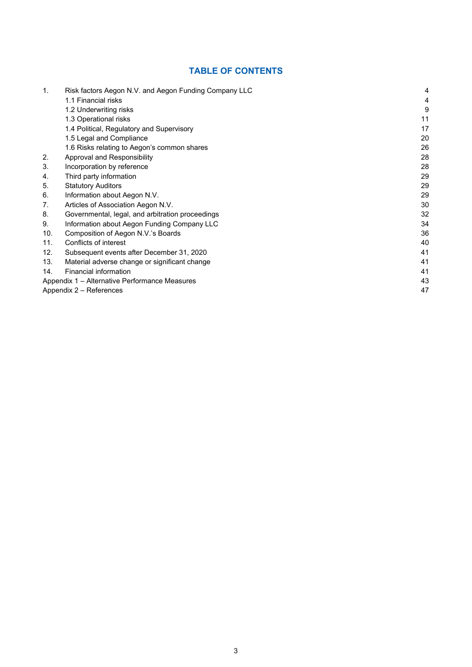# **TABLE OF CONTENTS**

| 1.                                            | Risk factors Aegon N.V. and Aegon Funding Company LLC | 4  |
|-----------------------------------------------|-------------------------------------------------------|----|
|                                               | 1.1 Financial risks                                   | 4  |
|                                               | 1.2 Underwriting risks                                | 9  |
|                                               | 1.3 Operational risks                                 | 11 |
|                                               | 1.4 Political, Regulatory and Supervisory             | 17 |
|                                               | 1.5 Legal and Compliance                              | 20 |
|                                               | 1.6 Risks relating to Aegon's common shares           | 26 |
| 2.                                            | Approval and Responsibility                           | 28 |
| 3.                                            | Incorporation by reference                            | 28 |
| 4.                                            | Third party information                               | 29 |
| 5.                                            | <b>Statutory Auditors</b>                             | 29 |
| 6.                                            | Information about Aegon N.V.                          | 29 |
| 7.                                            | Articles of Association Aegon N.V.                    | 30 |
| 8.                                            | Governmental, legal, and arbitration proceedings      | 32 |
| 9.                                            | Information about Aegon Funding Company LLC           | 34 |
| 10.                                           | Composition of Aegon N.V.'s Boards                    | 36 |
| 11.                                           | Conflicts of interest                                 | 40 |
| 12.                                           | Subsequent events after December 31, 2020             | 41 |
| 13.                                           | Material adverse change or significant change         | 41 |
| 14.                                           | Financial information                                 | 41 |
| Appendix 1 – Alternative Performance Measures |                                                       |    |
| Appendix 2 – References                       |                                                       |    |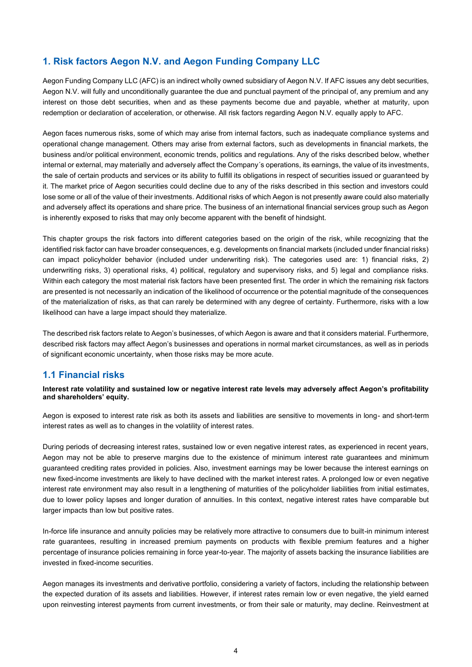# **1. Risk factors Aegon N.V. and Aegon Funding Company LLC**

Aegon Funding Company LLC (AFC) is an indirect wholly owned subsidiary of Aegon N.V. If AFC issues any debt securities, Aegon N.V. will fully and unconditionally guarantee the due and punctual payment of the principal of, any premium and any interest on those debt securities, when and as these payments become due and payable, whether at maturity, upon redemption or declaration of acceleration, or otherwise. All risk factors regarding Aegon N.V. equally apply to AFC.

Aegon faces numerous risks, some of which may arise from internal factors, such as inadequate compliance systems and operational change management. Others may arise from external factors, such as developments in financial markets, the business and/or political environment, economic trends, politics and regulations. Any of the risks described below, whether internal or external, may materially and adversely affect the Company´s operations, its earnings, the value of its investments, the sale of certain products and services or its ability to fulfill its obligations in respect of securities issued or guaranteed by it. The market price of Aegon securities could decline due to any of the risks described in this section and investors could lose some or all of the value of their investments. Additional risks of which Aegon is not presently aware could also materially and adversely affect its operations and share price. The business of an international financial services group such as Aegon is inherently exposed to risks that may only become apparent with the benefit of hindsight.

This chapter groups the risk factors into different categories based on the origin of the risk, while recognizing that the identified risk factor can have broader consequences, e.g. developments on financial markets (included under financial risks) can impact policyholder behavior (included under underwriting risk). The categories used are: 1) financial risks, 2) underwriting risks, 3) operational risks, 4) political, regulatory and supervisory risks, and 5) legal and compliance risks. Within each category the most material risk factors have been presented first. The order in which the remaining risk factors are presented is not necessarily an indication of the likelihood of occurrence or the potential magnitude of the consequences of the materialization of risks, as that can rarely be determined with any degree of certainty. Furthermore, risks with a low likelihood can have a large impact should they materialize.

The described risk factors relate to Aegon's businesses, of which Aegon is aware and that it considers material. Furthermore, described risk factors may affect Aegon's businesses and operations in normal market circumstances, as well as in periods of significant economic uncertainty, when those risks may be more acute.

# **1.1 Financial risks**

**Interest rate volatility and sustained low or negative interest rate levels may adversely affect Aegon's profitability and shareholders' equity.**

Aegon is exposed to interest rate risk as both its assets and liabilities are sensitive to movements in long- and short-term interest rates as well as to changes in the volatility of interest rates.

During periods of decreasing interest rates, sustained low or even negative interest rates, as experienced in recent years, Aegon may not be able to preserve margins due to the existence of minimum interest rate guarantees and minimum guaranteed crediting rates provided in policies. Also, investment earnings may be lower because the interest earnings on new fixed-income investments are likely to have declined with the market interest rates. A prolonged low or even negative interest rate environment may also result in a lengthening of maturities of the policyholder liabilities from initial estimates, due to lower policy lapses and longer duration of annuities. In this context, negative interest rates have comparable but larger impacts than low but positive rates.

In-force life insurance and annuity policies may be relatively more attractive to consumers due to built-in minimum interest rate guarantees, resulting in increased premium payments on products with flexible premium features and a higher percentage of insurance policies remaining in force year-to-year. The majority of assets backing the insurance liabilities are invested in fixed-income securities.

Aegon manages its investments and derivative portfolio, considering a variety of factors, including the relationship between the expected duration of its assets and liabilities. However, if interest rates remain low or even negative, the yield earned upon reinvesting interest payments from current investments, or from their sale or maturity, may decline. Reinvestment at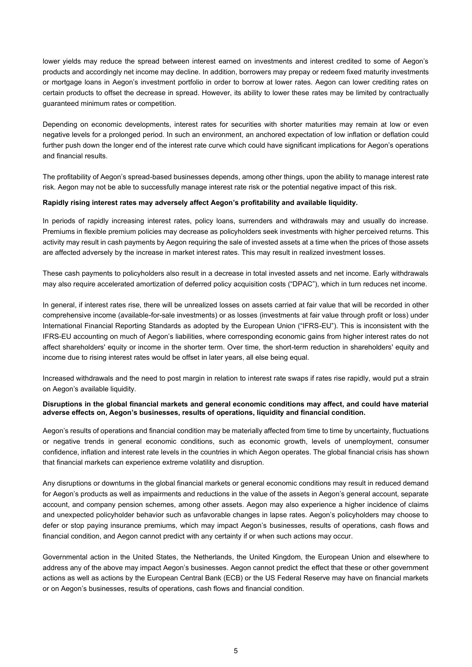lower yields may reduce the spread between interest earned on investments and interest credited to some of Aegon's products and accordingly net income may decline. In addition, borrowers may prepay or redeem fixed maturity investments or mortgage loans in Aegon's investment portfolio in order to borrow at lower rates. Aegon can lower crediting rates on certain products to offset the decrease in spread. However, its ability to lower these rates may be limited by contractually guaranteed minimum rates or competition.

Depending on economic developments, interest rates for securities with shorter maturities may remain at low or even negative levels for a prolonged period. In such an environment, an anchored expectation of low inflation or deflation could further push down the longer end of the interest rate curve which could have significant implications for Aegon's operations and financial results.

The profitability of Aegon's spread-based businesses depends, among other things, upon the ability to manage interest rate risk. Aegon may not be able to successfully manage interest rate risk or the potential negative impact of this risk.

#### **Rapidly rising interest rates may adversely affect Aegon's profitability and available liquidity.**

In periods of rapidly increasing interest rates, policy loans, surrenders and withdrawals may and usually do increase. Premiums in flexible premium policies may decrease as policyholders seek investments with higher perceived returns. This activity may result in cash payments by Aegon requiring the sale of invested assets at a time when the prices of those assets are affected adversely by the increase in market interest rates. This may result in realized investment losses.

These cash payments to policyholders also result in a decrease in total invested assets and net income. Early withdrawals may also require accelerated amortization of deferred policy acquisition costs ("DPAC"), which in turn reduces net income.

In general, if interest rates rise, there will be unrealized losses on assets carried at fair value that will be recorded in other comprehensive income (available-for-sale investments) or as losses (investments at fair value through profit or loss) under International Financial Reporting Standards as adopted by the European Union ("IFRS-EU"). This is inconsistent with the IFRS-EU accounting on much of Aegon's liabilities, where corresponding economic gains from higher interest rates do not affect shareholders' equity or income in the shorter term. Over time, the short-term reduction in shareholders' equity and income due to rising interest rates would be offset in later years, all else being equal.

Increased withdrawals and the need to post margin in relation to interest rate swaps if rates rise rapidly, would put a strain on Aegon's available liquidity.

#### **Disruptions in the global financial markets and general economic conditions may affect, and could have material adverse effects on, Aegon's businesses, results of operations, liquidity and financial condition.**

Aegon's results of operations and financial condition may be materially affected from time to time by uncertainty, fluctuations or negative trends in general economic conditions, such as economic growth, levels of unemployment, consumer confidence, inflation and interest rate levels in the countries in which Aegon operates. The global financial crisis has shown that financial markets can experience extreme volatility and disruption.

Any disruptions or downturns in the global financial markets or general economic conditions may result in reduced demand for Aegon's products as well as impairments and reductions in the value of the assets in Aegon's general account, separate account, and company pension schemes, among other assets. Aegon may also experience a higher incidence of claims and unexpected policyholder behavior such as unfavorable changes in lapse rates. Aegon's policyholders may choose to defer or stop paying insurance premiums, which may impact Aegon's businesses, results of operations, cash flows and financial condition, and Aegon cannot predict with any certainty if or when such actions may occur.

Governmental action in the United States, the Netherlands, the United Kingdom, the European Union and elsewhere to address any of the above may impact Aegon's businesses. Aegon cannot predict the effect that these or other government actions as well as actions by the European Central Bank (ECB) or the US Federal Reserve may have on financial markets or on Aegon's businesses, results of operations, cash flows and financial condition.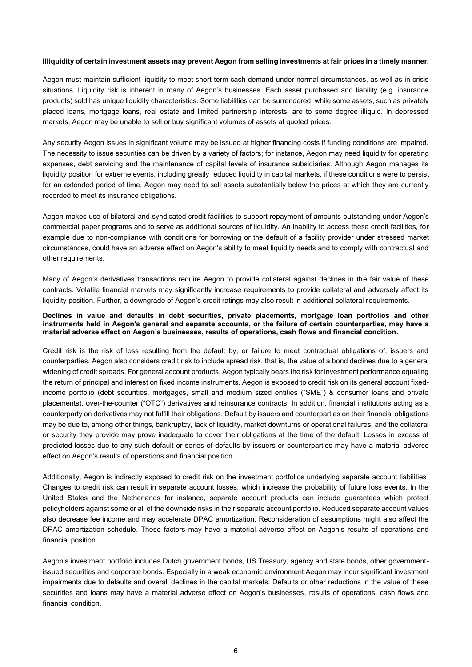#### **Illiquidity of certain investment assets may prevent Aegon from selling investments at fair prices in a timely manner.**

Aegon must maintain sufficient liquidity to meet short-term cash demand under normal circumstances, as well as in crisis situations. Liquidity risk is inherent in many of Aegon's businesses. Each asset purchased and liability (e.g. insurance products) sold has unique liquidity characteristics. Some liabilities can be surrendered, while some assets, such as privately placed loans, mortgage loans, real estate and limited partnership interests, are to some degree illiquid. In depressed markets, Aegon may be unable to sell or buy significant volumes of assets at quoted prices.

Any security Aegon issues in significant volume may be issued at higher financing costs if funding conditions are impaired. The necessity to issue securities can be driven by a variety of factors; for instance, Aegon may need liquidity for operating expenses, debt servicing and the maintenance of capital levels of insurance subsidiaries. Although Aegon manages its liquidity position for extreme events, including greatly reduced liquidity in capital markets, if these conditions were to persist for an extended period of time, Aegon may need to sell assets substantially below the prices at which they are currently recorded to meet its insurance obligations.

Aegon makes use of bilateral and syndicated credit facilities to support repayment of amounts outstanding under Aegon's commercial paper programs and to serve as additional sources of liquidity. An inability to access these credit facilities, for example due to non-compliance with conditions for borrowing or the default of a facility provider under stressed market circumstances, could have an adverse effect on Aegon's ability to meet liquidity needs and to comply with contractual and other requirements.

Many of Aegon's derivatives transactions require Aegon to provide collateral against declines in the fair value of these contracts. Volatile financial markets may significantly increase requirements to provide collateral and adversely affect its liquidity position. Further, a downgrade of Aegon's credit ratings may also result in additional collateral requirements.

#### **Declines in value and defaults in debt securities, private placements, mortgage loan portfolios and other instruments held in Aegon's general and separate accounts, or the failure of certain counterparties, may have a material adverse effect on Aegon's businesses, results of operations, cash flows and financial condition.**

Credit risk is the risk of loss resulting from the default by, or failure to meet contractual obligations of, issuers and counterparties. Aegon also considers credit risk to include spread risk, that is, the value of a bond declines due to a general widening of credit spreads. For general account products, Aegon typically bears the risk for investment performance equaling the return of principal and interest on fixed income instruments. Aegon is exposed to credit risk on its general account fixedincome portfolio (debt securities, mortgages, small and medium sized entities ("SME") & consumer loans and private placements), over-the-counter ("OTC") derivatives and reinsurance contracts. In addition, financial institutions acting as a counterparty on derivatives may not fulfill their obligations. Default by issuers and counterparties on their financial obligations may be due to, among other things, bankruptcy, lack of liquidity, market downturns or operational failures, and the collateral or security they provide may prove inadequate to cover their obligations at the time of the default. Losses in excess of predicted losses due to any such default or series of defaults by issuers or counterparties may have a material adverse effect on Aegon's results of operations and financial position.

Additionally, Aegon is indirectly exposed to credit risk on the investment portfolios underlying separate account liabilities. Changes to credit risk can result in separate account losses, which increase the probability of future loss events. In the United States and the Netherlands for instance, separate account products can include guarantees which protect policyholders against some or all of the downside risks in their separate account portfolio. Reduced separate account values also decrease fee income and may accelerate DPAC amortization. Reconsideration of assumptions might also affect the DPAC amortization schedule. These factors may have a material adverse effect on Aegon's results of operations and financial position.

Aegon's investment portfolio includes Dutch government bonds, US Treasury, agency and state bonds, other governmentissued securities and corporate bonds. Especially in a weak economic environment Aegon may incur significant investment impairments due to defaults and overall declines in the capital markets. Defaults or other reductions in the value of these securities and loans may have a material adverse effect on Aegon's businesses, results of operations, cash flows and financial condition.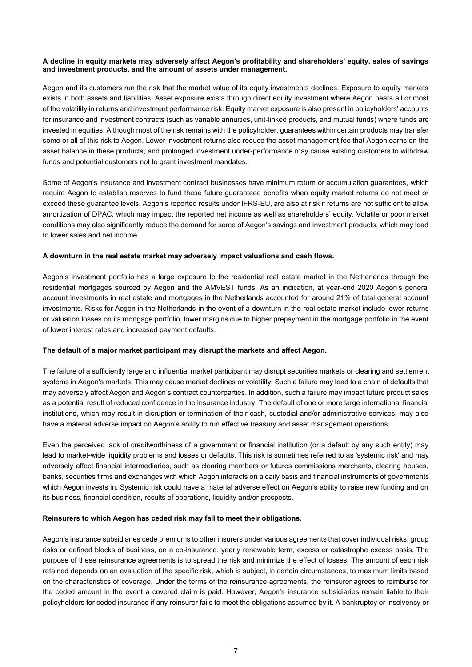## **A decline in equity markets may adversely affect Aegon's profitability and shareholders' equity, sales of savings and investment products, and the amount of assets under management.**

Aegon and its customers run the risk that the market value of its equity investments declines. Exposure to equity markets exists in both assets and liabilities. Asset exposure exists through direct equity investment where Aegon bears all or most of the volatility in returns and investment performance risk. Equity market exposure is also present in policyholders' accounts for insurance and investment contracts (such as variable annuities, unit-linked products, and mutual funds) where funds are invested in equities. Although most of the risk remains with the policyholder, guarantees within certain products may transfer some or all of this risk to Aegon. Lower investment returns also reduce the asset management fee that Aegon earns on the asset balance in these products, and prolonged investment under-performance may cause existing customers to withdraw funds and potential customers not to grant investment mandates.

Some of Aegon's insurance and investment contract businesses have minimum return or accumulation guarantees, which require Aegon to establish reserves to fund these future guaranteed benefits when equity market returns do not meet or exceed these guarantee levels. Aegon's reported results under IFRS-EU, are also at risk if returns are not sufficient to allow amortization of DPAC, which may impact the reported net income as well as shareholders' equity. Volatile or poor market conditions may also significantly reduce the demand for some of Aegon's savings and investment products, which may lead to lower sales and net income.

#### **A downturn in the real estate market may adversely impact valuations and cash flows.**

Aegon's investment portfolio has a large exposure to the residential real estate market in the Netherlands through the residential mortgages sourced by Aegon and the AMVEST funds. As an indication, at year-end 2020 Aegon's general account investments in real estate and mortgages in the Netherlands accounted for around 21% of total general account investments. Risks for Aegon in the Netherlands in the event of a downturn in the real estate market include lower returns or valuation losses on its mortgage portfolio, lower margins due to higher prepayment in the mortgage portfolio in the event of lower interest rates and increased payment defaults.

#### **The default of a major market participant may disrupt the markets and affect Aegon.**

The failure of a sufficiently large and influential market participant may disrupt securities markets or clearing and settlement systems in Aegon's markets. This may cause market declines or volatility. Such a failure may lead to a chain of defaults that may adversely affect Aegon and Aegon's contract counterparties. In addition, such a failure may impact future product sales as a potential result of reduced confidence in the insurance industry. The default of one or more large international financial institutions, which may result in disruption or termination of their cash, custodial and/or administrative services, may also have a material adverse impact on Aegon's ability to run effective treasury and asset management operations.

Even the perceived lack of creditworthiness of a government or financial institution (or a default by any such entity) may lead to market-wide liquidity problems and losses or defaults. This risk is sometimes referred to as 'systemic risk' and may adversely affect financial intermediaries, such as clearing members or futures commissions merchants, clearing houses, banks, securities firms and exchanges with which Aegon interacts on a daily basis and financial instruments of governments which Aegon invests in. Systemic risk could have a material adverse effect on Aegon's ability to raise new funding and on its business, financial condition, results of operations, liquidity and/or prospects.

#### **Reinsurers to which Aegon has ceded risk may fail to meet their obligations.**

Aegon's insurance subsidiaries cede premiums to other insurers under various agreements that cover individual risks, group risks or defined blocks of business, on a co-insurance, yearly renewable term, excess or catastrophe excess basis. The purpose of these reinsurance agreements is to spread the risk and minimize the effect of losses. The amount of each risk retained depends on an evaluation of the specific risk, which is subject, in certain circumstances, to maximum limits based on the characteristics of coverage. Under the terms of the reinsurance agreements, the reinsurer agrees to reimburse for the ceded amount in the event a covered claim is paid. However, Aegon's insurance subsidiaries remain liable to their policyholders for ceded insurance if any reinsurer fails to meet the obligations assumed by it. A bankruptcy or insolvency or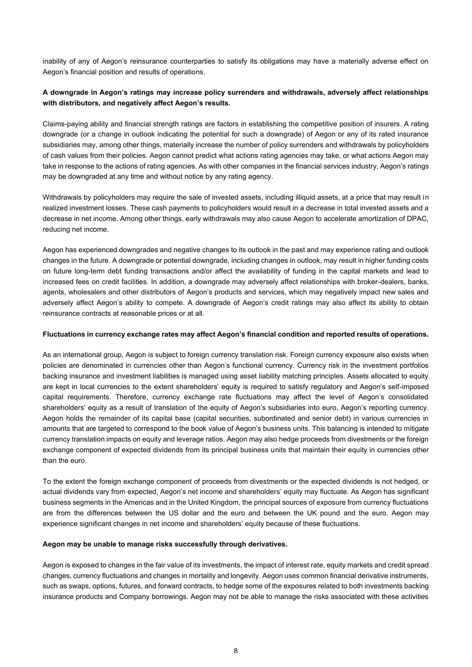inability of any of Aegon's reinsurance counterparties to satisfy its obligations may have a materially adverse effect on Aegon's financial position and results of operations.

# **A downgrade in Aegon's ratings may increase policy surrenders and withdrawals, adversely affect relationships with distributors, and negatively affect Aegon's results.**

Claims-paying ability and financial strength ratings are factors in establishing the competitive position of insurers. A rating downgrade (or a change in outlook indicating the potential for such a downgrade) of Aegon or any of its rated insurance subsidiaries may, among other things, materially increase the number of policy surrenders and withdrawals by policyholders of cash values from their policies. Aegon cannot predict what actions rating agencies may take, or what actions Aegon may take in response to the actions of rating agencies. As with other companies in the financial services industry, Aegon's ratings may be downgraded at any time and without notice by any rating agency.

Withdrawals by policyholders may require the sale of invested assets, including illiquid assets, at a price that may result in realized investment losses. These cash payments to policyholders would result in a decrease in total invested assets and a decrease in net income. Among other things, early withdrawals may also cause Aegon to accelerate amortization of DPAC, reducing net income.

Aegon has experienced downgrades and negative changes to its outlook in the past and may experience rating and outlook changes in the future. A downgrade or potential downgrade, including changes in outlook, may result in higher funding costs on future long-term debt funding transactions and/or affect the availability of funding in the capital markets and lead to increased fees on credit facilities. In addition, a downgrade may adversely affect relationships with broker-dealers, banks, agents, wholesalers and other distributors of Aegon's products and services, which may negatively impact new sales and adversely affect Aegon's ability to compete. A downgrade of Aegon's credit ratings may also affect its ability to obtain reinsurance contracts at reasonable prices or at all.

## **Fluctuations in currency exchange rates may affect Aegon's financial condition and reported results of operations.**

As an international group, Aegon is subject to foreign currency translation risk. Foreign currency exposure also exists when policies are denominated in currencies other than Aegon's functional currency. Currency risk in the investment portfolios backing insurance and investment liabilities is managed using asset liability matching principles. Assets allocated to equity are kept in local currencies to the extent shareholders' equity is required to satisfy regulatory and Aegon's self-imposed capital requirements. Therefore, currency exchange rate fluctuations may affect the level of Aegon's consolidated shareholders' equity as a result of translation of the equity of Aegon's subsidiaries into euro, Aegon's reporting currency. Aegon holds the remainder of its capital base (capital securities, subordinated and senior debt) in various currencies in amounts that are targeted to correspond to the book value of Aegon's business units. This balancing is intended to mitigate currency translation impacts on equity and leverage ratios. Aegon may also hedge proceeds from divestments or the foreign exchange component of expected dividends from its principal business units that maintain their equity in currencies other than the euro.

To the extent the foreign exchange component of proceeds from divestments or the expected dividends is not hedged, or actual dividends vary from expected, Aegon's net income and shareholders' equity may fluctuate. As Aegon has significant business segments in the Americas and in the United Kingdom, the principal sources of exposure from currency fluctuations are from the differences between the US dollar and the euro and between the UK pound and the euro. Aegon may experience significant changes in net income and shareholders' equity because of these fluctuations.

#### **Aegon may be unable to manage risks successfully through derivatives.**

Aegon is exposed to changes in the fair value of its investments, the impact of interest rate, equity markets and credit spread changes, currency fluctuations and changes in mortality and longevity. Aegon uses common financial derivative instruments, such as swaps, options, futures, and forward contracts, to hedge some of the exposures related to both investments backing insurance products and Company borrowings. Aegon may not be able to manage the risks associated with these activities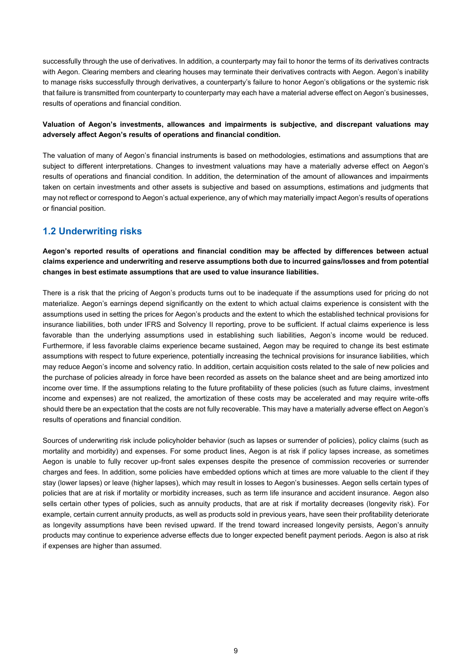successfully through the use of derivatives. In addition, a counterparty may fail to honor the terms of its derivatives contracts with Aegon. Clearing members and clearing houses may terminate their derivatives contracts with Aegon. Aegon's inability to manage risks successfully through derivatives, a counterparty's failure to honor Aegon's obligations or the systemic risk that failure is transmitted from counterparty to counterparty may each have a material adverse effect on Aegon's businesses, results of operations and financial condition.

# **Valuation of Aegon's investments, allowances and impairments is subjective, and discrepant valuations may adversely affect Aegon's results of operations and financial condition.**

The valuation of many of Aegon's financial instruments is based on methodologies, estimations and assumptions that are subject to different interpretations. Changes to investment valuations may have a materially adverse effect on Aegon's results of operations and financial condition. In addition, the determination of the amount of allowances and impairments taken on certain investments and other assets is subjective and based on assumptions, estimations and judgments that may not reflect or correspond to Aegon's actual experience, any of which may materially impact Aegon's results of operations or financial position.

# **1.2 Underwriting risks**

**Aegon's reported results of operations and financial condition may be affected by differences between actual claims experience and underwriting and reserve assumptions both due to incurred gains/losses and from potential changes in best estimate assumptions that are used to value insurance liabilities.**

There is a risk that the pricing of Aegon's products turns out to be inadequate if the assumptions used for pricing do not materialize. Aegon's earnings depend significantly on the extent to which actual claims experience is consistent with the assumptions used in setting the prices for Aegon's products and the extent to which the established technical provisions for insurance liabilities, both under IFRS and Solvency II reporting, prove to be sufficient. If actual claims experience is less favorable than the underlying assumptions used in establishing such liabilities, Aegon's income would be reduced. Furthermore, if less favorable claims experience became sustained, Aegon may be required to change its best estimate assumptions with respect to future experience, potentially increasing the technical provisions for insurance liabilities, which may reduce Aegon's income and solvency ratio. In addition, certain acquisition costs related to the sale of new policies and the purchase of policies already in force have been recorded as assets on the balance sheet and are being amortized into income over time. If the assumptions relating to the future profitability of these policies (such as future claims, investment income and expenses) are not realized, the amortization of these costs may be accelerated and may require write-offs should there be an expectation that the costs are not fully recoverable. This may have a materially adverse effect on Aegon's results of operations and financial condition.

Sources of underwriting risk include policyholder behavior (such as lapses or surrender of policies), policy claims (such as mortality and morbidity) and expenses. For some product lines, Aegon is at risk if policy lapses increase, as sometimes Aegon is unable to fully recover up-front sales expenses despite the presence of commission recoveries or surrender charges and fees. In addition, some policies have embedded options which at times are more valuable to the client if they stay (lower lapses) or leave (higher lapses), which may result in losses to Aegon's businesses. Aegon sells certain types of policies that are at risk if mortality or morbidity increases, such as term life insurance and accident insurance. Aegon also sells certain other types of policies, such as annuity products, that are at risk if mortality decreases (longevity risk). For example, certain current annuity products, as well as products sold in previous years, have seen their profitability deteriorate as longevity assumptions have been revised upward. If the trend toward increased longevity persists, Aegon's annuity products may continue to experience adverse effects due to longer expected benefit payment periods. Aegon is also at risk if expenses are higher than assumed.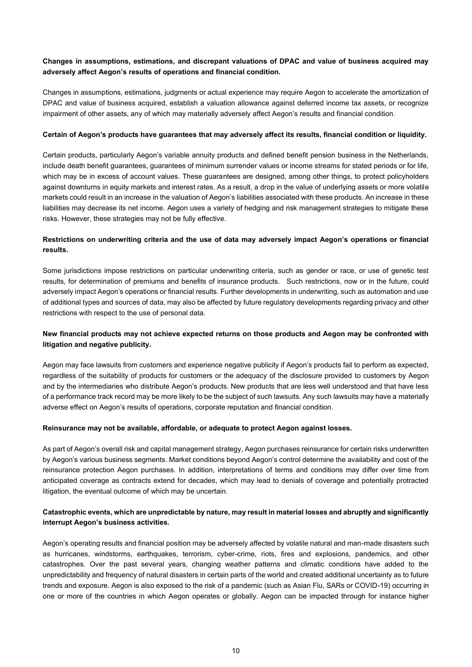# **Changes in assumptions, estimations, and discrepant valuations of DPAC and value of business acquired may adversely affect Aegon's results of operations and financial condition.**

Changes in assumptions, estimations, judgments or actual experience may require Aegon to accelerate the amortization of DPAC and value of business acquired, establish a valuation allowance against deferred income tax assets, or recognize impairment of other assets, any of which may materially adversely affect Aegon's results and financial condition.

#### **Certain of Aegon's products have guarantees that may adversely affect its results, financial condition or liquidity.**

Certain products, particularly Aegon's variable annuity products and defined benefit pension business in the Netherlands, include death benefit guarantees, guarantees of minimum surrender values or income streams for stated periods or for life, which may be in excess of account values. These guarantees are designed, among other things, to protect policyholders against downturns in equity markets and interest rates. As a result, a drop in the value of underlying assets or more volatile markets could result in an increase in the valuation of Aegon's liabilities associated with these products. An increase in these liabilities may decrease its net income. Aegon uses a variety of hedging and risk management strategies to mitigate these risks. However, these strategies may not be fully effective.

# **Restrictions on underwriting criteria and the use of data may adversely impact Aegon's operations or financial results.**

Some jurisdictions impose restrictions on particular underwriting criteria, such as gender or race, or use of genetic test results, for determination of premiums and benefits of insurance products. Such restrictions, now or in the future, could adversely impact Aegon's operations or financial results. Further developments in underwriting, such as automation and use of additional types and sources of data, may also be affected by future regulatory developments regarding privacy and other restrictions with respect to the use of personal data.

# **New financial products may not achieve expected returns on those products and Aegon may be confronted with litigation and negative publicity.**

Aegon may face lawsuits from customers and experience negative publicity if Aegon's products fail to perform as expected, regardless of the suitability of products for customers or the adequacy of the disclosure provided to customers by Aegon and by the intermediaries who distribute Aegon's products. New products that are less well understood and that have less of a performance track record may be more likely to be the subject of such lawsuits. Any such lawsuits may have a materially adverse effect on Aegon's results of operations, corporate reputation and financial condition.

## **Reinsurance may not be available, affordable, or adequate to protect Aegon against losses.**

As part of Aegon's overall risk and capital management strategy, Aegon purchases reinsurance for certain risks underwritten by Aegon's various business segments. Market conditions beyond Aegon's control determine the availability and cost of the reinsurance protection Aegon purchases. In addition, interpretations of terms and conditions may differ over time from anticipated coverage as contracts extend for decades, which may lead to denials of coverage and potentially protracted litigation, the eventual outcome of which may be uncertain.

## **Catastrophic events, which are unpredictable by nature, may result in material losses and abruptly and significantly interrupt Aegon's business activities.**

Aegon's operating results and financial position may be adversely affected by volatile natural and man-made disasters such as hurricanes, windstorms, earthquakes, terrorism, cyber-crime, riots, fires and explosions, pandemics, and other catastrophes. Over the past several years, changing weather patterns and climatic conditions have added to the unpredictability and frequency of natural disasters in certain parts of the world and created additional uncertainty as to future trends and exposure. Aegon is also exposed to the risk of a pandemic (such as Asian Flu, SARs or COVID-19) occurring in one or more of the countries in which Aegon operates or globally. Aegon can be impacted through for instance higher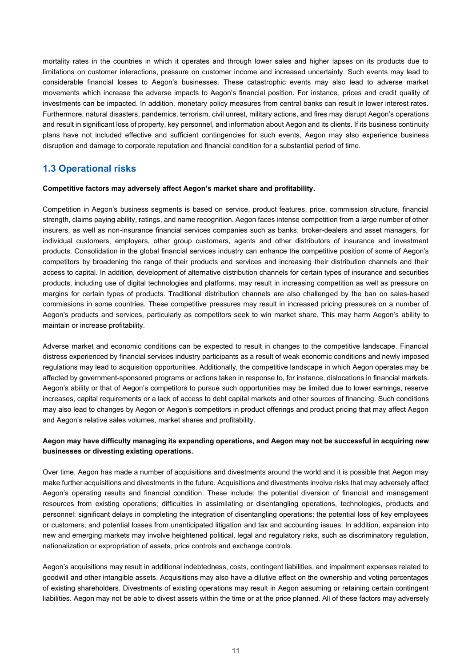mortality rates in the countries in which it operates and through lower sales and higher lapses on its products due to limitations on customer interactions, pressure on customer income and increased uncertainty. Such events may lead to considerable financial losses to Aegon's businesses. These catastrophic events may also lead to adverse market movements which increase the adverse impacts to Aegon's financial position. For instance, prices and credit quality of investments can be impacted. In addition, monetary policy measures from central banks can result in lower interest rates. Furthermore, natural disasters, pandemics, terrorism, civil unrest, military actions, and fires may disrupt Aegon's operations and result in significant loss of property, key personnel, and information about Aegon and its clients. If its business continuity plans have not included effective and sufficient contingencies for such events, Aegon may also experience business disruption and damage to corporate reputation and financial condition for a substantial period of time.

# **1.3 Operational risks**

#### **Competitive factors may adversely affect Aegon's market share and profitability.**

Competition in Aegon's business segments is based on service, product features, price, commission structure, financial strength, claims paying ability, ratings, and name recognition. Aegon faces intense competition from a large number of other insurers, as well as non-insurance financial services companies such as banks, broker-dealers and asset managers, for individual customers, employers, other group customers, agents and other distributors of insurance and investment products. Consolidation in the global financial services industry can enhance the competitive position of some of Aegon's competitors by broadening the range of their products and services and increasing their distribution channels and their access to capital. In addition, development of alternative distribution channels for certain types of insurance and securities products, including use of digital technologies and platforms, may result in increasing competition as well as pressure on margins for certain types of products. Traditional distribution channels are also challenged by the ban on sales-based commissions in some countries. These competitive pressures may result in increased pricing pressures on a number of Aegon's products and services, particularly as competitors seek to win market share. This may harm Aegon's ability to maintain or increase profitability.

Adverse market and economic conditions can be expected to result in changes to the competitive landscape. Financial distress experienced by financial services industry participants as a result of weak economic conditions and newly imposed regulations may lead to acquisition opportunities. Additionally, the competitive landscape in which Aegon operates may be affected by government-sponsored programs or actions taken in response to, for instance, dislocations in financial markets. Aegon's ability or that of Aegon's competitors to pursue such opportunities may be limited due to lower earnings, reserve increases, capital requirements or a lack of access to debt capital markets and other sources of financing. Such conditions may also lead to changes by Aegon or Aegon's competitors in product offerings and product pricing that may affect Aegon and Aegon's relative sales volumes, market shares and profitability.

## **Aegon may have difficulty managing its expanding operations, and Aegon may not be successful in acquiring new businesses or divesting existing operations.**

Over time, Aegon has made a number of acquisitions and divestments around the world and it is possible that Aegon may make further acquisitions and divestments in the future. Acquisitions and divestments involve risks that may adversely affect Aegon's operating results and financial condition. These include: the potential diversion of financial and management resources from existing operations; difficulties in assimilating or disentangling operations, technologies, products and personnel; significant delays in completing the integration of disentangling operations; the potential loss of key employees or customers; and potential losses from unanticipated litigation and tax and accounting issues. In addition, expansion into new and emerging markets may involve heightened political, legal and regulatory risks, such as discriminatory regulation, nationalization or expropriation of assets, price controls and exchange controls.

Aegon's acquisitions may result in additional indebtedness, costs, contingent liabilities, and impairment expenses related to goodwill and other intangible assets. Acquisitions may also have a dilutive effect on the ownership and voting percentages of existing shareholders. Divestments of existing operations may result in Aegon assuming or retaining certain contingent liabilities. Aegon may not be able to divest assets within the time or at the price planned. All of these factors may adversely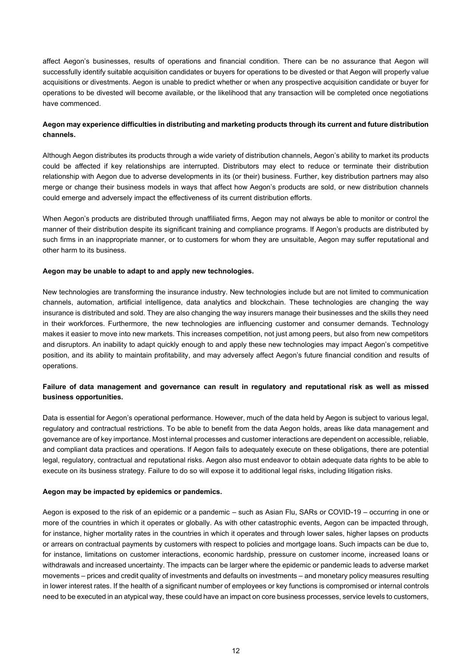affect Aegon's businesses, results of operations and financial condition. There can be no assurance that Aegon will successfully identify suitable acquisition candidates or buyers for operations to be divested or that Aegon will properly value acquisitions or divestments. Aegon is unable to predict whether or when any prospective acquisition candidate or buyer for operations to be divested will become available, or the likelihood that any transaction will be completed once negotiations have commenced.

# **Aegon may experience difficulties in distributing and marketing products through its current and future distribution channels.**

Although Aegon distributes its products through a wide variety of distribution channels, Aegon's ability to market its products could be affected if key relationships are interrupted. Distributors may elect to reduce or terminate their distribution relationship with Aegon due to adverse developments in its (or their) business. Further, key distribution partners may also merge or change their business models in ways that affect how Aegon's products are sold, or new distribution channels could emerge and adversely impact the effectiveness of its current distribution efforts.

When Aegon's products are distributed through unaffiliated firms, Aegon may not always be able to monitor or control the manner of their distribution despite its significant training and compliance programs. If Aegon's products are distributed by such firms in an inappropriate manner, or to customers for whom they are unsuitable, Aegon may suffer reputational and other harm to its business.

## **Aegon may be unable to adapt to and apply new technologies.**

New technologies are transforming the insurance industry. New technologies include but are not limited to communication channels, automation, artificial intelligence, data analytics and blockchain. These technologies are changing the way insurance is distributed and sold. They are also changing the way insurers manage their businesses and the skills they need in their workforces. Furthermore, the new technologies are influencing customer and consumer demands. Technology makes it easier to move into new markets. This increases competition, not just among peers, but also from new competitors and disruptors. An inability to adapt quickly enough to and apply these new technologies may impact Aegon's competitive position, and its ability to maintain profitability, and may adversely affect Aegon's future financial condition and results of operations.

# **Failure of data management and governance can result in regulatory and reputational risk as well as missed business opportunities.**

Data is essential for Aegon's operational performance. However, much of the data held by Aegon is subject to various legal, regulatory and contractual restrictions. To be able to benefit from the data Aegon holds, areas like data management and governance are of key importance. Most internal processes and customer interactions are dependent on accessible, reliable, and compliant data practices and operations. If Aegon fails to adequately execute on these obligations, there are potential legal, regulatory, contractual and reputational risks. Aegon also must endeavor to obtain adequate data rights to be able to execute on its business strategy. Failure to do so will expose it to additional legal risks, including litigation risks.

## **Aegon may be impacted by epidemics or pandemics.**

Aegon is exposed to the risk of an epidemic or a pandemic – such as Asian Flu, SARs or COVID-19 – occurring in one or more of the countries in which it operates or globally. As with other catastrophic events, Aegon can be impacted through, for instance, higher mortality rates in the countries in which it operates and through lower sales, higher lapses on products or arrears on contractual payments by customers with respect to policies and mortgage loans. Such impacts can be due to, for instance, limitations on customer interactions, economic hardship, pressure on customer income, increased loans or withdrawals and increased uncertainty. The impacts can be larger where the epidemic or pandemic leads to adverse market movements – prices and credit quality of investments and defaults on investments – and monetary policy measures resulting in lower interest rates. If the health of a significant number of employees or key functions is compromised or internal controls need to be executed in an atypical way, these could have an impact on core business processes, service levels to customers,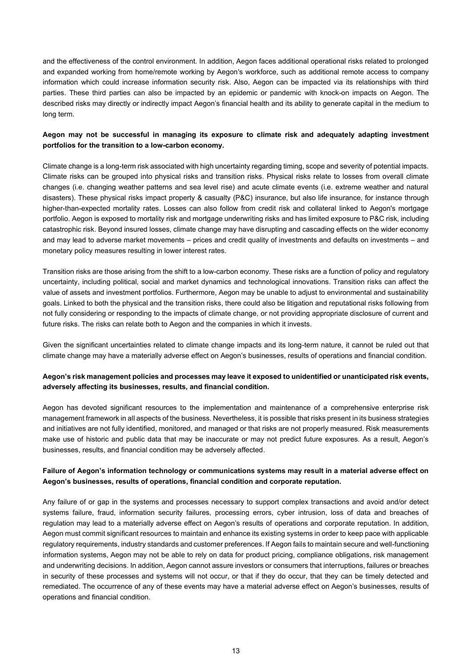and the effectiveness of the control environment. In addition, Aegon faces additional operational risks related to prolonged and expanded working from home/remote working by Aegon's workforce, such as additional remote access to company information which could increase information security risk. Also, Aegon can be impacted via its relationships with third parties. These third parties can also be impacted by an epidemic or pandemic with knock-on impacts on Aegon. The described risks may directly or indirectly impact Aegon's financial health and its ability to generate capital in the medium to long term.

# **Aegon may not be successful in managing its exposure to climate risk and adequately adapting investment portfolios for the transition to a low-carbon economy.**

Climate change is a long-term risk associated with high uncertainty regarding timing, scope and severity of potential impacts. Climate risks can be grouped into physical risks and transition risks. Physical risks relate to losses from overall climate changes (i.e. changing weather patterns and sea level rise) and acute climate events (i.e. extreme weather and natural disasters). These physical risks impact property & casualty (P&C) insurance, but also life insurance, for instance through higher-than-expected mortality rates. Losses can also follow from credit risk and collateral linked to Aegon's mortgage portfolio. Aegon is exposed to mortality risk and mortgage underwriting risks and has limited exposure to P&C risk, including catastrophic risk. Beyond insured losses, climate change may have disrupting and cascading effects on the wider economy and may lead to adverse market movements – prices and credit quality of investments and defaults on investments – and monetary policy measures resulting in lower interest rates.

Transition risks are those arising from the shift to a low-carbon economy. These risks are a function of policy and regulatory uncertainty, including political, social and market dynamics and technological innovations. Transition risks can affect the value of assets and investment portfolios. Furthermore, Aegon may be unable to adjust to environmental and sustainability goals. Linked to both the physical and the transition risks, there could also be litigation and reputational risks following from not fully considering or responding to the impacts of climate change, or not providing appropriate disclosure of current and future risks. The risks can relate both to Aegon and the companies in which it invests.

Given the significant uncertainties related to climate change impacts and its long-term nature, it cannot be ruled out that climate change may have a materially adverse effect on Aegon's businesses, results of operations and financial condition.

# **Aegon's risk management policies and processes may leave it exposed to unidentified or unanticipated risk events, adversely affecting its businesses, results, and financial condition.**

Aegon has devoted significant resources to the implementation and maintenance of a comprehensive enterprise risk management framework in all aspects of the business. Nevertheless, it is possible that risks present in its business strategies and initiatives are not fully identified, monitored, and managed or that risks are not properly measured. Risk measurements make use of historic and public data that may be inaccurate or may not predict future exposures. As a result, Aegon's businesses, results, and financial condition may be adversely affected.

## **Failure of Aegon's information technology or communications systems may result in a material adverse effect on Aegon's businesses, results of operations, financial condition and corporate reputation.**

Any failure of or gap in the systems and processes necessary to support complex transactions and avoid and/or detect systems failure, fraud, information security failures, processing errors, cyber intrusion, loss of data and breaches of regulation may lead to a materially adverse effect on Aegon's results of operations and corporate reputation. In addition, Aegon must commit significant resources to maintain and enhance its existing systems in order to keep pace with applicable regulatory requirements, industry standards and customer preferences. If Aegon fails to maintain secure and well-functioning information systems, Aegon may not be able to rely on data for product pricing, compliance obligations, risk management and underwriting decisions. In addition, Aegon cannot assure investors or consumers that interruptions, failures or breaches in security of these processes and systems will not occur, or that if they do occur, that they can be timely detected and remediated. The occurrence of any of these events may have a material adverse effect on Aegon's businesses, results of operations and financial condition.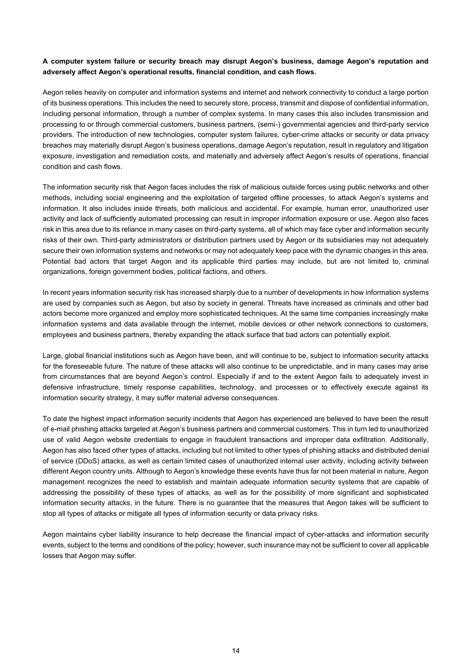# **A computer system failure or security breach may disrupt Aegon's business, damage Aegon's reputation and adversely affect Aegon's operational results, financial condition, and cash flows.**

Aegon relies heavily on computer and information systems and internet and network connectivity to conduct a large portion of its business operations. This includes the need to securely store, process, transmit and dispose of confidential information, including personal information, through a number of complex systems. In many cases this also includes transmission and processing to or through commercial customers, business partners, (semi-) governmental agencies and third-party service providers. The introduction of new technologies, computer system failures, cyber-crime attacks or security or data privacy breaches may materially disrupt Aegon's business operations, damage Aegon's reputation, result in regulatory and litigation exposure, investigation and remediation costs, and materially and adversely affect Aegon's results of operations, financial condition and cash flows.

The information security risk that Aegon faces includes the risk of malicious outside forces using public networks and other methods, including social engineering and the exploitation of targeted offline processes, to attack Aegon's systems and information. It also includes inside threats, both malicious and accidental. For example, human error, unauthorized user activity and lack of sufficiently automated processing can result in improper information exposure or use. Aegon also faces risk in this area due to its reliance in many cases on third-party systems, all of which may face cyber and information security risks of their own. Third-party administrators or distribution partners used by Aegon or its subsidiaries may not adequately secure their own information systems and networks or may not adequately keep pace with the dynamic changes in this area. Potential bad actors that target Aegon and its applicable third parties may include, but are not limited to, criminal organizations, foreign government bodies, political factions, and others.

In recent years information security risk has increased sharply due to a number of developments in how information systems are used by companies such as Aegon, but also by society in general. Threats have increased as criminals and other bad actors become more organized and employ more sophisticated techniques. At the same time companies increasingly make information systems and data available through the internet, mobile devices or other network connections to customers, employees and business partners, thereby expanding the attack surface that bad actors can potentially exploit.

Large, global financial institutions such as Aegon have been, and will continue to be, subject to information security attacks for the foreseeable future. The nature of these attacks will also continue to be unpredictable, and in many cases may arise from circumstances that are beyond Aegon's control. Especially if and to the extent Aegon fails to adequately invest in defensive infrastructure, timely response capabilities, technology, and processes or to effectively execute against its information security strategy, it may suffer material adverse consequences.

To date the highest impact information security incidents that Aegon has experienced are believed to have been the result of e-mail phishing attacks targeted at Aegon's business partners and commercial customers. This in turn led to unauthorized use of valid Aegon website credentials to engage in fraudulent transactions and improper data exfiltration. Additionally, Aegon has also faced other types of attacks, including but not limited to other types of phishing attacks and distributed denial of service (DDoS) attacks, as well as certain limited cases of unauthorized internal user activity, including activity between different Aegon country units. Although to Aegon's knowledge these events have thus far not been material in nature, Aegon management recognizes the need to establish and maintain adequate information security systems that are capable of addressing the possibility of these types of attacks, as well as for the possibility of more significant and sophisticated information security attacks, in the future. There is no guarantee that the measures that Aegon takes will be sufficient to stop all types of attacks or mitigate all types of information security or data privacy risks.

Aegon maintains cyber liability insurance to help decrease the financial impact of cyber-attacks and information security events, subject to the terms and conditions of the policy; however, such insurance may not be sufficient to cover all applicable losses that Aegon may suffer.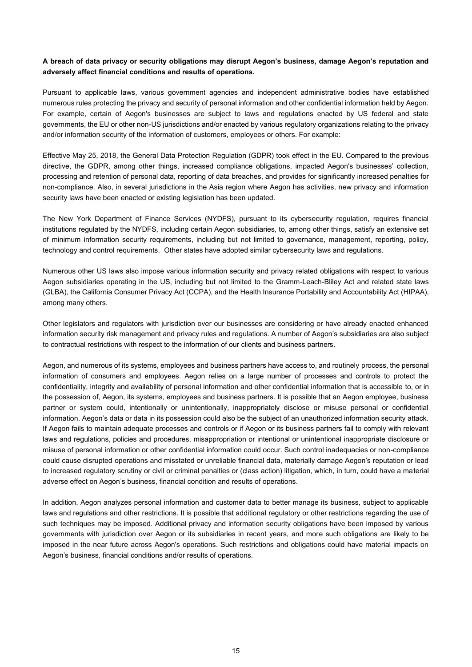# **A breach of data privacy or security obligations may disrupt Aegon's business, damage Aegon's reputation and adversely affect financial conditions and results of operations.**

Pursuant to applicable laws, various government agencies and independent administrative bodies have established numerous rules protecting the privacy and security of personal information and other confidential information held by Aegon. For example, certain of Aegon's businesses are subject to laws and regulations enacted by US federal and state governments, the EU or other non-US jurisdictions and/or enacted by various regulatory organizations relating to the privacy and/or information security of the information of customers, employees or others. For example:

Effective May 25, 2018, the General Data Protection Regulation (GDPR) took effect in the EU. Compared to the previous directive, the GDPR, among other things, increased compliance obligations, impacted Aegon's businesses' collection, processing and retention of personal data, reporting of data breaches, and provides for significantly increased penalties for non-compliance. Also, in several jurisdictions in the Asia region where Aegon has activities, new privacy and information security laws have been enacted or existing legislation has been updated.

The New York Department of Finance Services (NYDFS), pursuant to its cybersecurity regulation, requires financial institutions regulated by the NYDFS, including certain Aegon subsidiaries, to, among other things, satisfy an extensive set of minimum information security requirements, including but not limited to governance, management, reporting, policy, technology and control requirements. Other states have adopted similar cybersecurity laws and regulations.

Numerous other US laws also impose various information security and privacy related obligations with respect to various Aegon subsidiaries operating in the US, including but not limited to the Gramm-Leach-Bliley Act and related state laws (GLBA), the California Consumer Privacy Act (CCPA), and the Health Insurance Portability and Accountability Act (HIPAA), among many others.

Other legislators and regulators with jurisdiction over our businesses are considering or have already enacted enhanced information security risk management and privacy rules and regulations. A number of Aegon's subsidiaries are also subject to contractual restrictions with respect to the information of our clients and business partners.

Aegon, and numerous of its systems, employees and business partners have access to, and routinely process, the personal information of consumers and employees. Aegon relies on a large number of processes and controls to protect the confidentiality, integrity and availability of personal information and other confidential information that is accessible to, or in the possession of, Aegon, its systems, employees and business partners. It is possible that an Aegon employee, business partner or system could, intentionally or unintentionally, inappropriately disclose or misuse personal or confidential information. Aegon's data or data in its possession could also be the subject of an unauthorized information security attack. If Aegon fails to maintain adequate processes and controls or if Aegon or its business partners fail to comply with relevant laws and regulations, policies and procedures, misappropriation or intentional or unintentional inappropriate disclosure or misuse of personal information or other confidential information could occur. Such control inadequacies or non-compliance could cause disrupted operations and misstated or unreliable financial data, materially damage Aegon's reputation or lead to increased regulatory scrutiny or civil or criminal penalties or (class action) litigation, which, in turn, could have a material adverse effect on Aegon's business, financial condition and results of operations.

In addition, Aegon analyzes personal information and customer data to better manage its business, subject to applicable laws and regulations and other restrictions. It is possible that additional regulatory or other restrictions regarding the use of such techniques may be imposed. Additional privacy and information security obligations have been imposed by various governments with jurisdiction over Aegon or its subsidiaries in recent years, and more such obligations are likely to be imposed in the near future across Aegon's operations. Such restrictions and obligations could have material impacts on Aegon's business, financial conditions and/or results of operations.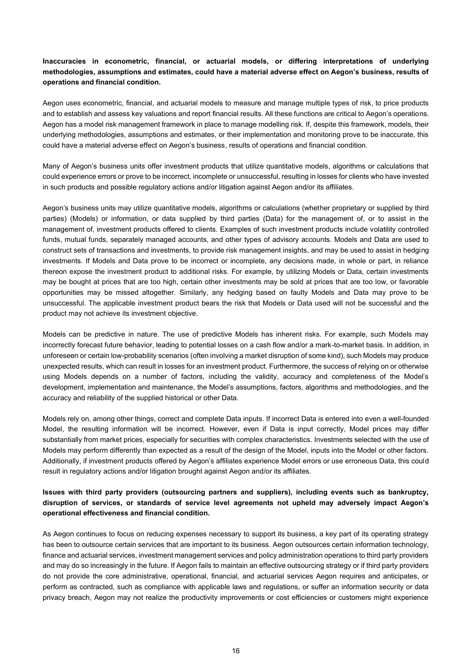# **Inaccuracies in econometric, financial, or actuarial models, or differing interpretations of underlying methodologies, assumptions and estimates, could have a material adverse effect on Aegon's business, results of operations and financial condition.**

Aegon uses econometric, financial, and actuarial models to measure and manage multiple types of risk, to price products and to establish and assess key valuations and report financial results. All these functions are critical to Aegon's operations. Aegon has a model risk management framework in place to manage modelling risk. If, despite this framework, models, their underlying methodologies, assumptions and estimates, or their implementation and monitoring prove to be inaccurate, this could have a material adverse effect on Aegon's business, results of operations and financial condition.

Many of Aegon's business units offer investment products that utilize quantitative models, algorithms or calculations that could experience errors or prove to be incorrect, incomplete or unsuccessful, resulting in losses for clients who have invested in such products and possible regulatory actions and/or litigation against Aegon and/or its affiliates.

Aegon's business units may utilize quantitative models, algorithms or calculations (whether proprietary or supplied by third parties) (Models) or information, or data supplied by third parties (Data) for the management of, or to assist in the management of, investment products offered to clients. Examples of such investment products include volatility controlled funds, mutual funds, separately managed accounts, and other types of advisory accounts. Models and Data are used to construct sets of transactions and investments, to provide risk management insights, and may be used to assist in hedging investments. If Models and Data prove to be incorrect or incomplete, any decisions made, in whole or part, in reliance thereon expose the investment product to additional risks. For example, by utilizing Models or Data, certain investments may be bought at prices that are too high, certain other investments may be sold at prices that are too low, or favorable opportunities may be missed altogether. Similarly, any hedging based on faulty Models and Data may prove to be unsuccessful. The applicable investment product bears the risk that Models or Data used will not be successful and the product may not achieve its investment objective.

Models can be predictive in nature. The use of predictive Models has inherent risks. For example, such Models may incorrectly forecast future behavior, leading to potential losses on a cash flow and/or a mark-to-market basis. In addition, in unforeseen or certain low-probability scenarios (often involving a market disruption of some kind), such Models may produce unexpected results, which can result in losses for an investment product. Furthermore, the success of relying on or otherwise using Models depends on a number of factors, including the validity, accuracy and completeness of the Model's development, implementation and maintenance, the Model's assumptions, factors, algorithms and methodologies, and the accuracy and reliability of the supplied historical or other Data.

Models rely on, among other things, correct and complete Data inputs. If incorrect Data is entered into even a well-founded Model, the resulting information will be incorrect. However, even if Data is input correctly, Model prices may differ substantially from market prices, especially for securities with complex characteristics. Investments selected with the use of Models may perform differently than expected as a result of the design of the Model, inputs into the Model or other factors. Additionally, if investment products offered by Aegon's affiliates experience Model errors or use erroneous Data, this could result in regulatory actions and/or litigation brought against Aegon and/or its affiliates.

# **Issues with third party providers (outsourcing partners and suppliers), including events such as bankruptcy, disruption of services, or standards of service level agreements not upheld may adversely impact Aegon's operational effectiveness and financial condition.**

As Aegon continues to focus on reducing expenses necessary to support its business, a key part of its operating strategy has been to outsource certain services that are important to its business. Aegon outsources certain information technology, finance and actuarial services, investment management services and policy administration operations to third party providers and may do so increasingly in the future. If Aegon fails to maintain an effective outsourcing strategy or if third party providers do not provide the core administrative, operational, financial, and actuarial services Aegon requires and anticipates, or perform as contracted, such as compliance with applicable laws and regulations, or suffer an information security or data privacy breach, Aegon may not realize the productivity improvements or cost efficiencies or customers might experience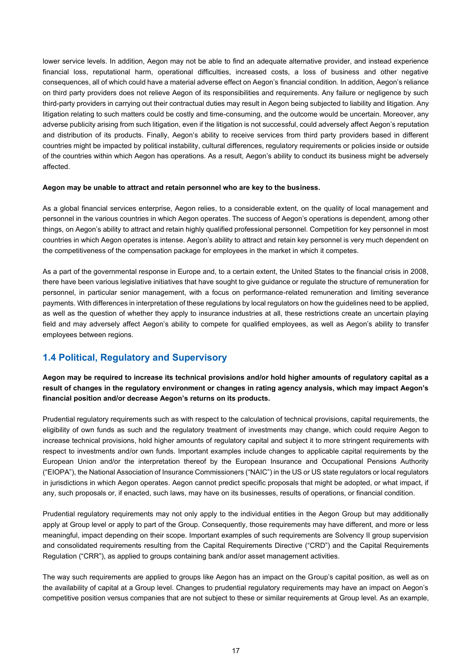lower service levels. In addition, Aegon may not be able to find an adequate alternative provider, and instead experience financial loss, reputational harm, operational difficulties, increased costs, a loss of business and other negative consequences, all of which could have a material adverse effect on Aegon's financial condition. In addition, Aegon's reliance on third party providers does not relieve Aegon of its responsibilities and requirements. Any failure or negligence by such third-party providers in carrying out their contractual duties may result in Aegon being subjected to liability and litigation. Any litigation relating to such matters could be costly and time-consuming, and the outcome would be uncertain. Moreover, any adverse publicity arising from such litigation, even if the litigation is not successful, could adversely affect Aegon's reputation and distribution of its products. Finally, Aegon's ability to receive services from third party providers based in different countries might be impacted by political instability, cultural differences, regulatory requirements or policies inside or outside of the countries within which Aegon has operations. As a result, Aegon's ability to conduct its business might be adversely affected.

#### **Aegon may be unable to attract and retain personnel who are key to the business.**

As a global financial services enterprise, Aegon relies, to a considerable extent, on the quality of local management and personnel in the various countries in which Aegon operates. The success of Aegon's operations is dependent, among other things, on Aegon's ability to attract and retain highly qualified professional personnel. Competition for key personnel in most countries in which Aegon operates is intense. Aegon's ability to attract and retain key personnel is very much dependent on the competitiveness of the compensation package for employees in the market in which it competes.

As a part of the governmental response in Europe and, to a certain extent, the United States to the financial crisis in 2008, there have been various legislative initiatives that have sought to give guidance or regulate the structure of remuneration for personnel, in particular senior management, with a focus on performance-related remuneration and limiting severance payments. With differences in interpretation of these regulations by local regulators on how the guidelines need to be applied, as well as the question of whether they apply to insurance industries at all, these restrictions create an uncertain playing field and may adversely affect Aegon's ability to compete for qualified employees, as well as Aegon's ability to transfer employees between regions.

# **1.4 Political, Regulatory and Supervisory**

**Aegon may be required to increase its technical provisions and/or hold higher amounts of regulatory capital as a result of changes in the regulatory environment or changes in rating agency analysis, which may impact Aegon's financial position and/or decrease Aegon's returns on its products.**

Prudential regulatory requirements such as with respect to the calculation of technical provisions, capital requirements, the eligibility of own funds as such and the regulatory treatment of investments may change, which could require Aegon to increase technical provisions, hold higher amounts of regulatory capital and subject it to more stringent requirements with respect to investments and/or own funds. Important examples include changes to applicable capital requirements by the European Union and/or the interpretation thereof by the European Insurance and Occupational Pensions Authority ("EIOPA"), the National Association of Insurance Commissioners ("NAIC") in the US or US state regulators or local regulators in jurisdictions in which Aegon operates. Aegon cannot predict specific proposals that might be adopted, or what impact, if any, such proposals or, if enacted, such laws, may have on its businesses, results of operations, or financial condition.

Prudential regulatory requirements may not only apply to the individual entities in the Aegon Group but may additionally apply at Group level or apply to part of the Group. Consequently, those requirements may have different, and more or less meaningful, impact depending on their scope. Important examples of such requirements are Solvency II group supervision and consolidated requirements resulting from the Capital Requirements Directive ("CRD") and the Capital Requirements Regulation ("CRR"), as applied to groups containing bank and/or asset management activities.

The way such requirements are applied to groups like Aegon has an impact on the Group's capital position, as well as on the availability of capital at a Group level. Changes to prudential regulatory requirements may have an impact on Aegon's competitive position versus companies that are not subject to these or similar requirements at Group level. As an example,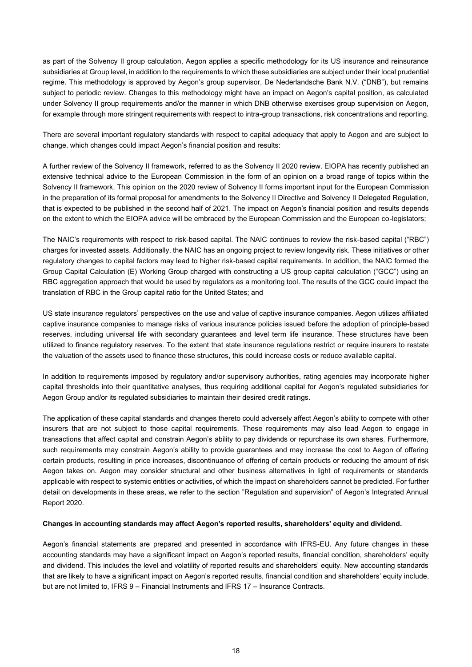as part of the Solvency II group calculation, Aegon applies a specific methodology for its US insurance and reinsurance subsidiaries at Group level, in addition to the requirements to which these subsidiaries are subject under their local prudential regime. This methodology is approved by Aegon's group supervisor, De Nederlandsche Bank N.V. ("DNB"), but remains subject to periodic review. Changes to this methodology might have an impact on Aegon's capital position, as calculated under Solvency II group requirements and/or the manner in which DNB otherwise exercises group supervision on Aegon, for example through more stringent requirements with respect to intra-group transactions, risk concentrations and reporting.

There are several important regulatory standards with respect to capital adequacy that apply to Aegon and are subject to change, which changes could impact Aegon's financial position and results:

A further review of the Solvency II framework, referred to as the Solvency II 2020 review. EIOPA has recently published an extensive technical advice to the European Commission in the form of an opinion on a broad range of topics within the Solvency II framework. This opinion on the 2020 review of Solvency II forms important input for the European Commission in the preparation of its formal proposal for amendments to the Solvency II Directive and Solvency II Delegated Regulation, that is expected to be published in the second half of 2021. The impact on Aegon's financial position and results depends on the extent to which the EIOPA advice will be embraced by the European Commission and the European co-legislators;

The NAIC's requirements with respect to risk-based capital. The NAIC continues to review the risk-based capital ("RBC") charges for invested assets. Additionally, the NAIC has an ongoing project to review longevity risk. These initiatives or other regulatory changes to capital factors may lead to higher risk-based capital requirements. In addition, the NAIC formed the Group Capital Calculation (E) Working Group charged with constructing a US group capital calculation ("GCC") using an RBC aggregation approach that would be used by regulators as a monitoring tool. The results of the GCC could impact the translation of RBC in the Group capital ratio for the United States; and

US state insurance regulators' perspectives on the use and value of captive insurance companies. Aegon utilizes affiliated captive insurance companies to manage risks of various insurance policies issued before the adoption of principle-based reserves, including universal life with secondary guarantees and level term life insurance. These structures have been utilized to finance regulatory reserves. To the extent that state insurance regulations restrict or require insurers to restate the valuation of the assets used to finance these structures, this could increase costs or reduce available capital.

In addition to requirements imposed by regulatory and/or supervisory authorities, rating agencies may incorporate higher capital thresholds into their quantitative analyses, thus requiring additional capital for Aegon's regulated subsidiaries for Aegon Group and/or its regulated subsidiaries to maintain their desired credit ratings.

The application of these capital standards and changes thereto could adversely affect Aegon's ability to compete with other insurers that are not subject to those capital requirements. These requirements may also lead Aegon to engage in transactions that affect capital and constrain Aegon's ability to pay dividends or repurchase its own shares. Furthermore, such requirements may constrain Aegon's ability to provide guarantees and may increase the cost to Aegon of offering certain products, resulting in price increases, discontinuance of offering of certain products or reducing the amount of risk Aegon takes on. Aegon may consider structural and other business alternatives in light of requirements or standards applicable with respect to systemic entities or activities, of which the impact on shareholders cannot be predicted. For further detail on developments in these areas, we refer to the section "Regulation and supervision" of Aegon's Integrated Annual Report 2020.

#### **Changes in accounting standards may affect Aegon's reported results, shareholders' equity and dividend.**

Aegon's financial statements are prepared and presented in accordance with IFRS-EU. Any future changes in these accounting standards may have a significant impact on Aegon's reported results, financial condition, shareholders' equity and dividend. This includes the level and volatility of reported results and shareholders' equity. New accounting standards that are likely to have a significant impact on Aegon's reported results, financial condition and shareholders' equity include, but are not limited to, IFRS 9 – Financial Instruments and IFRS 17 – Insurance Contracts.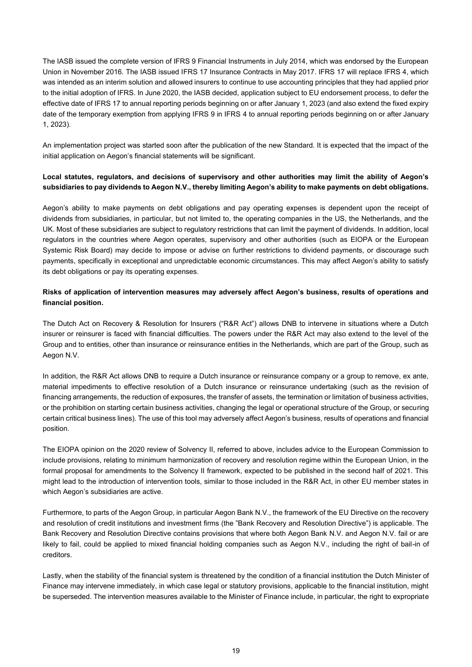The IASB issued the complete version of IFRS 9 Financial Instruments in July 2014, which was endorsed by the European Union in November 2016. The IASB issued IFRS 17 Insurance Contracts in May 2017. IFRS 17 will replace IFRS 4, which was intended as an interim solution and allowed insurers to continue to use accounting principles that they had applied prior to the initial adoption of IFRS. In June 2020, the IASB decided, application subject to EU endorsement process, to defer the effective date of IFRS 17 to annual reporting periods beginning on or after January 1, 2023 (and also extend the fixed expiry date of the temporary exemption from applying IFRS 9 in IFRS 4 to annual reporting periods beginning on or after January 1, 2023).

An implementation project was started soon after the publication of the new Standard. It is expected that the impact of the initial application on Aegon's financial statements will be significant.

## **Local statutes, regulators, and decisions of supervisory and other authorities may limit the ability of Aegon's subsidiaries to pay dividends to Aegon N.V., thereby limiting Aegon's ability to make payments on debt obligations.**

Aegon's ability to make payments on debt obligations and pay operating expenses is dependent upon the receipt of dividends from subsidiaries, in particular, but not limited to, the operating companies in the US, the Netherlands, and the UK. Most of these subsidiaries are subject to regulatory restrictions that can limit the payment of dividends. In addition, local regulators in the countries where Aegon operates, supervisory and other authorities (such as EIOPA or the European Systemic Risk Board) may decide to impose or advise on further restrictions to dividend payments, or discourage such payments, specifically in exceptional and unpredictable economic circumstances. This may affect Aegon's ability to satisfy its debt obligations or pay its operating expenses.

## **Risks of application of intervention measures may adversely affect Aegon's business, results of operations and financial position.**

The Dutch Act on Recovery & Resolution for Insurers ("R&R Act") allows DNB to intervene in situations where a Dutch insurer or reinsurer is faced with financial difficulties. The powers under the R&R Act may also extend to the level of the Group and to entities, other than insurance or reinsurance entities in the Netherlands, which are part of the Group, such as Aegon N.V.

In addition, the R&R Act allows DNB to require a Dutch insurance or reinsurance company or a group to remove, ex ante, material impediments to effective resolution of a Dutch insurance or reinsurance undertaking (such as the revision of financing arrangements, the reduction of exposures, the transfer of assets, the termination or limitation of business activities, or the prohibition on starting certain business activities, changing the legal or operational structure of the Group, or securing certain critical business lines). The use of this tool may adversely affect Aegon's business, results of operations and financial position.

The EIOPA opinion on the 2020 review of Solvency II, referred to above, includes advice to the European Commission to include provisions, relating to minimum harmonization of recovery and resolution regime within the European Union, in the formal proposal for amendments to the Solvency II framework, expected to be published in the second half of 2021. This might lead to the introduction of intervention tools, similar to those included in the R&R Act, in other EU member states in which Aegon's subsidiaries are active.

Furthermore, to parts of the Aegon Group, in particular Aegon Bank N.V., the framework of the EU Directive on the recovery and resolution of credit institutions and investment firms (the "Bank Recovery and Resolution Directive") is applicable. The Bank Recovery and Resolution Directive contains provisions that where both Aegon Bank N.V. and Aegon N.V. fail or are likely to fail, could be applied to mixed financial holding companies such as Aegon N.V., including the right of bail-in of creditors.

Lastly, when the stability of the financial system is threatened by the condition of a financial institution the Dutch Minister of Finance may intervene immediately, in which case legal or statutory provisions, applicable to the financial institution, might be superseded. The intervention measures available to the Minister of Finance include, in particular, the right to expropriate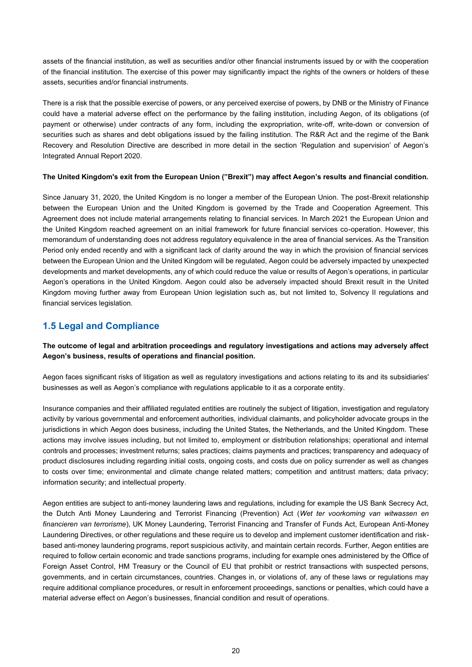assets of the financial institution, as well as securities and/or other financial instruments issued by or with the cooperation of the financial institution. The exercise of this power may significantly impact the rights of the owners or holders of these assets, securities and/or financial instruments.

There is a risk that the possible exercise of powers, or any perceived exercise of powers, by DNB or the Ministry of Finance could have a material adverse effect on the performance by the failing institution, including Aegon, of its obligations (of payment or otherwise) under contracts of any form, including the expropriation, write-off, write-down or conversion of securities such as shares and debt obligations issued by the failing institution. The R&R Act and the regime of the Bank Recovery and Resolution Directive are described in more detail in the section 'Regulation and supervision' of Aegon's Integrated Annual Report 2020.

## **The United Kingdom's exit from the European Union ("Brexit") may affect Aegon's results and financial condition.**

Since January 31, 2020, the United Kingdom is no longer a member of the European Union. The post-Brexit relationship between the European Union and the United Kingdom is governed by the Trade and Cooperation Agreement. This Agreement does not include material arrangements relating to financial services. In March 2021 the European Union and the United Kingdom reached agreement on an initial framework for future financial services co-operation. However, this memorandum of understanding does not address regulatory equivalence in the area of financial services. As the Transition Period only ended recently and with a significant lack of clarity around the way in which the provision of financial services between the European Union and the United Kingdom will be regulated, Aegon could be adversely impacted by unexpected developments and market developments, any of which could reduce the value or results of Aegon's operations, in particular Aegon's operations in the United Kingdom. Aegon could also be adversely impacted should Brexit result in the United Kingdom moving further away from European Union legislation such as, but not limited to, Solvency II regulations and financial services legislation.

# **1.5 Legal and Compliance**

# **The outcome of legal and arbitration proceedings and regulatory investigations and actions may adversely affect Aegon's business, results of operations and financial position.**

Aegon faces significant risks of litigation as well as regulatory investigations and actions relating to its and its subsidiaries' businesses as well as Aegon's compliance with regulations applicable to it as a corporate entity.

Insurance companies and their affiliated regulated entities are routinely the subject of litigation, investigation and regulatory activity by various governmental and enforcement authorities, individual claimants, and policyholder advocate groups in the jurisdictions in which Aegon does business, including the United States, the Netherlands, and the United Kingdom. These actions may involve issues including, but not limited to, employment or distribution relationships; operational and internal controls and processes; investment returns; sales practices; claims payments and practices; transparency and adequacy of product disclosures including regarding initial costs, ongoing costs, and costs due on policy surrender as well as changes to costs over time; environmental and climate change related matters; competition and antitrust matters; data privacy; information security; and intellectual property.

Aegon entities are subject to anti-money laundering laws and regulations, including for example the US Bank Secrecy Act, the Dutch Anti Money Laundering and Terrorist Financing (Prevention) Act (*Wet ter voorkoming van witwassen en financieren van terrorisme*), UK Money Laundering, Terrorist Financing and Transfer of Funds Act, European Anti-Money Laundering Directives, or other regulations and these require us to develop and implement customer identification and riskbased anti-money laundering programs, report suspicious activity, and maintain certain records. Further, Aegon entities are required to follow certain economic and trade sanctions programs, including for example ones administered by the Office of Foreign Asset Control, HM Treasury or the Council of EU that prohibit or restrict transactions with suspected persons, governments, and in certain circumstances, countries. Changes in, or violations of, any of these laws or regulations may require additional compliance procedures, or result in enforcement proceedings, sanctions or penalties, which could have a material adverse effect on Aegon's businesses, financial condition and result of operations.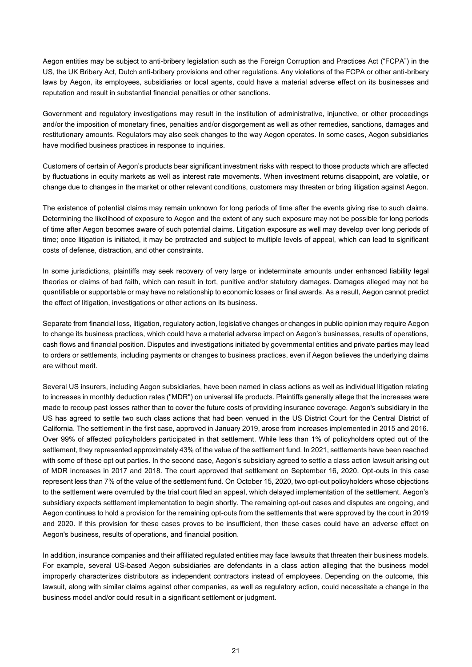Aegon entities may be subject to anti-bribery legislation such as the Foreign Corruption and Practices Act ("FCPA") in the US, the UK Bribery Act, Dutch anti-bribery provisions and other regulations. Any violations of the FCPA or other anti-bribery laws by Aegon, its employees, subsidiaries or local agents, could have a material adverse effect on its businesses and reputation and result in substantial financial penalties or other sanctions.

Government and regulatory investigations may result in the institution of administrative, injunctive, or other proceedings and/or the imposition of monetary fines, penalties and/or disgorgement as well as other remedies, sanctions, damages and restitutionary amounts. Regulators may also seek changes to the way Aegon operates. In some cases, Aegon subsidiaries have modified business practices in response to inquiries.

Customers of certain of Aegon's products bear significant investment risks with respect to those products which are affected by fluctuations in equity markets as well as interest rate movements. When investment returns disappoint, are volatile, or change due to changes in the market or other relevant conditions, customers may threaten or bring litigation against Aegon.

The existence of potential claims may remain unknown for long periods of time after the events giving rise to such claims. Determining the likelihood of exposure to Aegon and the extent of any such exposure may not be possible for long periods of time after Aegon becomes aware of such potential claims. Litigation exposure as well may develop over long periods of time; once litigation is initiated, it may be protracted and subject to multiple levels of appeal, which can lead to significant costs of defense, distraction, and other constraints.

In some jurisdictions, plaintiffs may seek recovery of very large or indeterminate amounts under enhanced liability legal theories or claims of bad faith, which can result in tort, punitive and/or statutory damages. Damages alleged may not be quantifiable or supportable or may have no relationship to economic losses or final awards. As a result, Aegon cannot predict the effect of litigation, investigations or other actions on its business.

Separate from financial loss, litigation, regulatory action, legislative changes or changes in public opinion may require Aegon to change its business practices, which could have a material adverse impact on Aegon's businesses, results of operations, cash flows and financial position. Disputes and investigations initiated by governmental entities and private parties may lead to orders or settlements, including payments or changes to business practices, even if Aegon believes the underlying claims are without merit.

Several US insurers, including Aegon subsidiaries, have been named in class actions as well as individual litigation relating to increases in monthly deduction rates (''MDR'') on universal life products. Plaintiffs generally allege that the increases were made to recoup past losses rather than to cover the future costs of providing insurance coverage. Aegon's subsidiary in the US has agreed to settle two such class actions that had been venued in the US District Court for the Central District of California. The settlement in the first case, approved in January 2019, arose from increases implemented in 2015 and 2016. Over 99% of affected policyholders participated in that settlement. While less than 1% of policyholders opted out of the settlement, they represented approximately 43% of the value of the settlement fund. In 2021, settlements have been reached with some of these opt out parties. In the second case, Aegon's subsidiary agreed to settle a class action lawsuit arising out of MDR increases in 2017 and 2018. The court approved that settlement on September 16, 2020. Opt-outs in this case represent less than 7% of the value of the settlement fund. On October 15, 2020, two opt-out policyholders whose objections to the settlement were overruled by the trial court filed an appeal, which delayed implementation of the settlement. Aegon's subsidiary expects settlement implementation to begin shortly. The remaining opt-out cases and disputes are ongoing, and Aegon continues to hold a provision for the remaining opt-outs from the settlements that were approved by the court in 2019 and 2020. If this provision for these cases proves to be insufficient, then these cases could have an adverse effect on Aegon's business, results of operations, and financial position.

In addition, insurance companies and their affiliated regulated entities may face lawsuits that threaten their business models. For example, several US-based Aegon subsidiaries are defendants in a class action alleging that the business model improperly characterizes distributors as independent contractors instead of employees. Depending on the outcome, this lawsuit, along with similar claims against other companies, as well as regulatory action, could necessitate a change in the business model and/or could result in a significant settlement or judgment.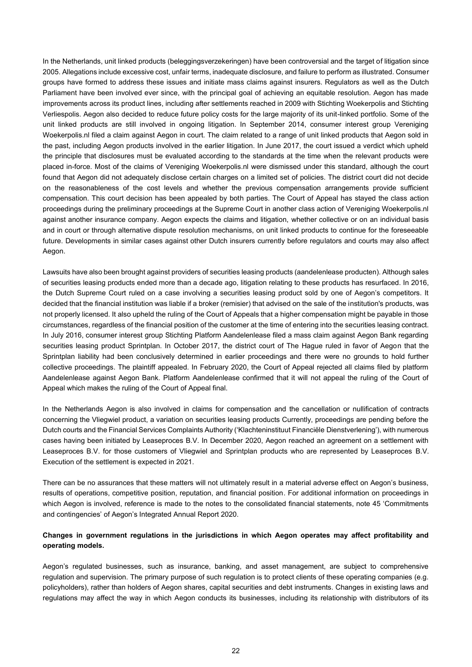In the Netherlands, unit linked products (beleggingsverzekeringen) have been controversial and the target of litigation since 2005. Allegations include excessive cost, unfair terms, inadequate disclosure, and failure to perform as illustrated. Consumer groups have formed to address these issues and initiate mass claims against insurers. Regulators as well as the Dutch Parliament have been involved ever since, with the principal goal of achieving an equitable resolution. Aegon has made improvements across its product lines, including after settlements reached in 2009 with Stichting Woekerpolis and Stichting Verliespolis. Aegon also decided to reduce future policy costs for the large majority of its unit-linked portfolio. Some of the unit linked products are still involved in ongoing litigation. In September 2014, consumer interest group Vereniging Woekerpolis.nl filed a claim against Aegon in court. The claim related to a range of unit linked products that Aegon sold in the past, including Aegon products involved in the earlier litigation. In June 2017, the court issued a verdict which upheld the principle that disclosures must be evaluated according to the standards at the time when the relevant products were placed in-force. Most of the claims of Vereniging Woekerpolis.nl were dismissed under this standard, although the court found that Aegon did not adequately disclose certain charges on a limited set of policies. The district court did not decide on the reasonableness of the cost levels and whether the previous compensation arrangements provide sufficient compensation. This court decision has been appealed by both parties. The Court of Appeal has stayed the class action proceedings during the preliminary proceedings at the Supreme Court in another class action of Vereniging Woekerpolis.nl against another insurance company. Aegon expects the claims and litigation, whether collective or on an individual basis and in court or through alternative dispute resolution mechanisms, on unit linked products to continue for the foreseeable future. Developments in similar cases against other Dutch insurers currently before regulators and courts may also affect Aegon.

Lawsuits have also been brought against providers of securities leasing products (aandelenlease producten). Although sales of securities leasing products ended more than a decade ago, litigation relating to these products has resurfaced. In 2016, the Dutch Supreme Court ruled on a case involving a securities leasing product sold by one of Aegon's competitors. It decided that the financial institution was liable if a broker (remisier) that advised on the sale of the institution's products, was not properly licensed. It also upheld the ruling of the Court of Appeals that a higher compensation might be payable in those circumstances, regardless of the financial position of the customer at the time of entering into the securities leasing contract. In July 2016, consumer interest group Stichting Platform Aandelenlease filed a mass claim against Aegon Bank regarding securities leasing product Sprintplan. In October 2017, the district court of The Hague ruled in favor of Aegon that the Sprintplan liability had been conclusively determined in earlier proceedings and there were no grounds to hold further collective proceedings. The plaintiff appealed. In February 2020, the Court of Appeal rejected all claims filed by platform Aandelenlease against Aegon Bank. Platform Aandelenlease confirmed that it will not appeal the ruling of the Court of Appeal which makes the ruling of the Court of Appeal final.

In the Netherlands Aegon is also involved in claims for compensation and the cancellation or nullification of contracts concerning the Vliegwiel product, a variation on securities leasing products Currently, proceedings are pending before the Dutch courts and the Financial Services Complaints Authority ('Klachteninstituut Financiële Dienstverlening'), with numerous cases having been initiated by Leaseproces B.V. In December 2020, Aegon reached an agreement on a settlement with Leaseproces B.V. for those customers of Vliegwiel and Sprintplan products who are represented by Leaseproces B.V. Execution of the settlement is expected in 2021.

There can be no assurances that these matters will not ultimately result in a material adverse effect on Aegon's business, results of operations, competitive position, reputation, and financial position. For additional information on proceedings in which Aegon is involved, reference is made to the notes to the consolidated financial statements, note 45 'Commitments and contingencies' of Aegon's Integrated Annual Report 2020.

# **Changes in government regulations in the jurisdictions in which Aegon operates may affect profitability and operating models.**

Aegon's regulated businesses, such as insurance, banking, and asset management, are subject to comprehensive regulation and supervision. The primary purpose of such regulation is to protect clients of these operating companies (e.g. policyholders), rather than holders of Aegon shares, capital securities and debt instruments. Changes in existing laws and regulations may affect the way in which Aegon conducts its businesses, including its relationship with distributors of its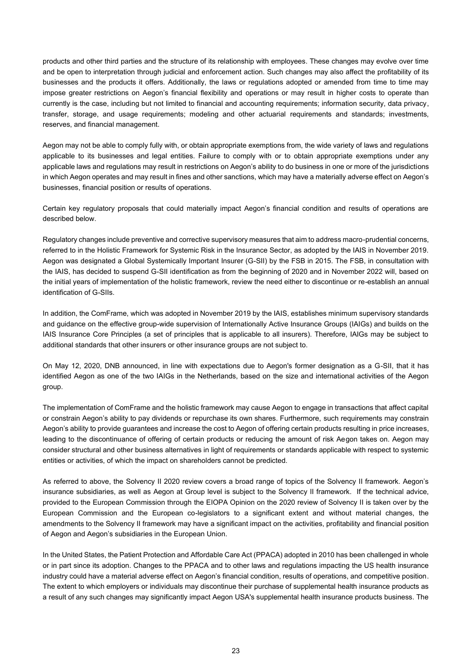products and other third parties and the structure of its relationship with employees. These changes may evolve over time and be open to interpretation through judicial and enforcement action. Such changes may also affect the profitability of its businesses and the products it offers. Additionally, the laws or regulations adopted or amended from time to time may impose greater restrictions on Aegon's financial flexibility and operations or may result in higher costs to operate than currently is the case, including but not limited to financial and accounting requirements; information security, data privacy, transfer, storage, and usage requirements; modeling and other actuarial requirements and standards; investments, reserves, and financial management.

Aegon may not be able to comply fully with, or obtain appropriate exemptions from, the wide variety of laws and regulations applicable to its businesses and legal entities. Failure to comply with or to obtain appropriate exemptions under any applicable laws and regulations may result in restrictions on Aegon's ability to do business in one or more of the jurisdictions in which Aegon operates and may result in fines and other sanctions, which may have a materially adverse effect on Aegon's businesses, financial position or results of operations.

Certain key regulatory proposals that could materially impact Aegon's financial condition and results of operations are described below.

Regulatory changes include preventive and corrective supervisory measures that aim to address macro-prudential concerns, referred to in the Holistic Framework for Systemic Risk in the Insurance Sector, as adopted by the IAIS in November 2019. Aegon was designated a Global Systemically Important Insurer (G-SII) by the FSB in 2015. The FSB, in consultation with the IAIS, has decided to suspend G-SII identification as from the beginning of 2020 and in November 2022 will, based on the initial years of implementation of the holistic framework, review the need either to discontinue or re-establish an annual identification of G-SIIs.

In addition, the ComFrame, which was adopted in November 2019 by the IAIS, establishes minimum supervisory standards and guidance on the effective group-wide supervision of Internationally Active Insurance Groups (IAIGs) and builds on the IAIS Insurance Core Principles (a set of principles that is applicable to all insurers). Therefore, IAIGs may be subject to additional standards that other insurers or other insurance groups are not subject to.

On May 12, 2020, DNB announced, in line with expectations due to Aegon's former designation as a G-SII, that it has identified Aegon as one of the two IAIGs in the Netherlands, based on the size and international activities of the Aegon group.

The implementation of ComFrame and the holistic framework may cause Aegon to engage in transactions that affect capital or constrain Aegon's ability to pay dividends or repurchase its own shares. Furthermore, such requirements may constrain Aegon's ability to provide guarantees and increase the cost to Aegon of offering certain products resulting in price increases, leading to the discontinuance of offering of certain products or reducing the amount of risk Aegon takes on. Aegon may consider structural and other business alternatives in light of requirements or standards applicable with respect to systemic entities or activities, of which the impact on shareholders cannot be predicted.

As referred to above, the Solvency II 2020 review covers a broad range of topics of the Solvency II framework. Aegon's insurance subsidiaries, as well as Aegon at Group level is subject to the Solvency II framework. If the technical advice, provided to the European Commission through the EIOPA Opinion on the 2020 review of Solvency II is taken over by the European Commission and the European co-legislators to a significant extent and without material changes, the amendments to the Solvency II framework may have a significant impact on the activities, profitability and financial position of Aegon and Aegon's subsidiaries in the European Union.

In the United States, the Patient Protection and Affordable Care Act (PPACA) adopted in 2010 has been challenged in whole or in part since its adoption. Changes to the PPACA and to other laws and regulations impacting the US health insurance industry could have a material adverse effect on Aegon's financial condition, results of operations, and competitive position. The extent to which employers or individuals may discontinue their purchase of supplemental health insurance products as a result of any such changes may significantly impact Aegon USA's supplemental health insurance products business. The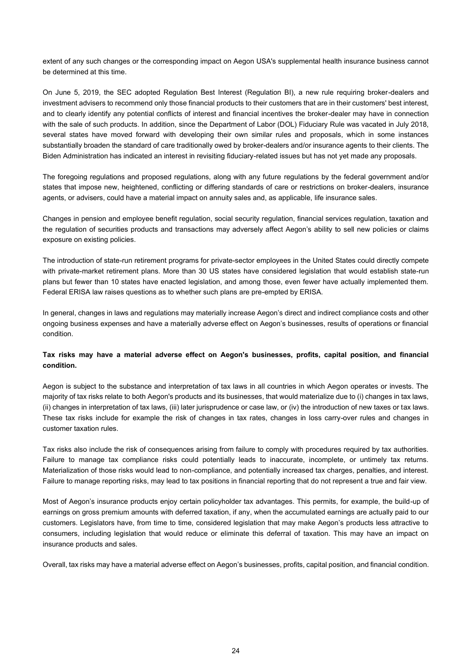extent of any such changes or the corresponding impact on Aegon USA's supplemental health insurance business cannot be determined at this time.

On June 5, 2019, the SEC adopted Regulation Best Interest (Regulation BI), a new rule requiring broker-dealers and investment advisers to recommend only those financial products to their customers that are in their customers' best interest, and to clearly identify any potential conflicts of interest and financial incentives the broker-dealer may have in connection with the sale of such products. In addition, since the Department of Labor (DOL) Fiduciary Rule was vacated in July 2018, several states have moved forward with developing their own similar rules and proposals, which in some instances substantially broaden the standard of care traditionally owed by broker-dealers and/or insurance agents to their clients. The Biden Administration has indicated an interest in revisiting fiduciary-related issues but has not yet made any proposals.

The foregoing regulations and proposed regulations, along with any future regulations by the federal government and/or states that impose new, heightened, conflicting or differing standards of care or restrictions on broker-dealers, insurance agents, or advisers, could have a material impact on annuity sales and, as applicable, life insurance sales.

Changes in pension and employee benefit regulation, social security regulation, financial services regulation, taxation and the regulation of securities products and transactions may adversely affect Aegon's ability to sell new policies or claims exposure on existing policies.

The introduction of state-run retirement programs for private-sector employees in the United States could directly compete with private-market retirement plans. More than 30 US states have considered legislation that would establish state-run plans but fewer than 10 states have enacted legislation, and among those, even fewer have actually implemented them. Federal ERISA law raises questions as to whether such plans are pre-empted by ERISA.

In general, changes in laws and regulations may materially increase Aegon's direct and indirect compliance costs and other ongoing business expenses and have a materially adverse effect on Aegon's businesses, results of operations or financial condition.

# **Tax risks may have a material adverse effect on Aegon's businesses, profits, capital position, and financial condition.**

Aegon is subject to the substance and interpretation of tax laws in all countries in which Aegon operates or invests. The majority of tax risks relate to both Aegon's products and its businesses, that would materialize due to (i) changes in tax laws, (ii) changes in interpretation of tax laws, (iii) later jurisprudence or case law, or (iv) the introduction of new taxes or tax laws. These tax risks include for example the risk of changes in tax rates, changes in loss carry-over rules and changes in customer taxation rules.

Tax risks also include the risk of consequences arising from failure to comply with procedures required by tax authorities. Failure to manage tax compliance risks could potentially leads to inaccurate, incomplete, or untimely tax returns. Materialization of those risks would lead to non-compliance, and potentially increased tax charges, penalties, and interest. Failure to manage reporting risks, may lead to tax positions in financial reporting that do not represent a true and fair view.

Most of Aegon's insurance products enjoy certain policyholder tax advantages. This permits, for example, the build-up of earnings on gross premium amounts with deferred taxation, if any, when the accumulated earnings are actually paid to our customers. Legislators have, from time to time, considered legislation that may make Aegon's products less attractive to consumers, including legislation that would reduce or eliminate this deferral of taxation. This may have an impact on insurance products and sales.

Overall, tax risks may have a material adverse effect on Aegon's businesses, profits, capital position, and financial condition.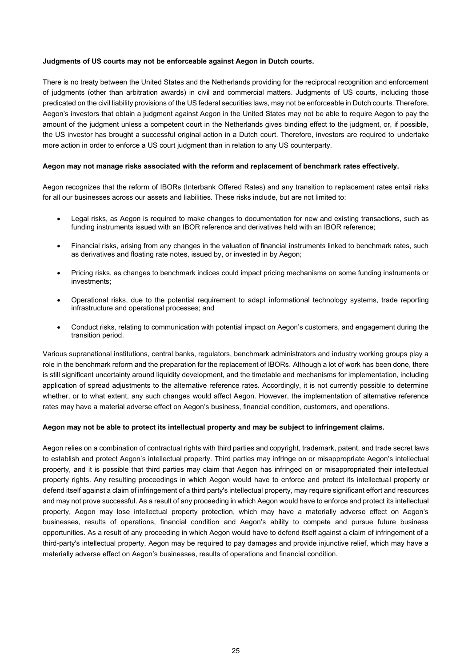#### **Judgments of US courts may not be enforceable against Aegon in Dutch courts.**

There is no treaty between the United States and the Netherlands providing for the reciprocal recognition and enforcement of judgments (other than arbitration awards) in civil and commercial matters. Judgments of US courts, including those predicated on the civil liability provisions of the US federal securities laws, may not be enforceable in Dutch courts. Therefore, Aegon's investors that obtain a judgment against Aegon in the United States may not be able to require Aegon to pay the amount of the judgment unless a competent court in the Netherlands gives binding effect to the judgment, or, if possible, the US investor has brought a successful original action in a Dutch court. Therefore, investors are required to undertake more action in order to enforce a US court judgment than in relation to any US counterparty.

#### **Aegon may not manage risks associated with the reform and replacement of benchmark rates effectively.**

Aegon recognizes that the reform of IBORs (Interbank Offered Rates) and any transition to replacement rates entail risks for all our businesses across our assets and liabilities. These risks include, but are not limited to:

- Legal risks, as Aegon is required to make changes to documentation for new and existing transactions, such as funding instruments issued with an IBOR reference and derivatives held with an IBOR reference;
- Financial risks, arising from any changes in the valuation of financial instruments linked to benchmark rates, such as derivatives and floating rate notes, issued by, or invested in by Aegon;
- Pricing risks, as changes to benchmark indices could impact pricing mechanisms on some funding instruments or investments;
- Operational risks, due to the potential requirement to adapt informational technology systems, trade reporting infrastructure and operational processes; and
- Conduct risks, relating to communication with potential impact on Aegon's customers, and engagement during the transition period.

Various supranational institutions, central banks, regulators, benchmark administrators and industry working groups play a role in the benchmark reform and the preparation for the replacement of IBORs. Although a lot of work has been done, there is still significant uncertainty around liquidity development, and the timetable and mechanisms for implementation, including application of spread adjustments to the alternative reference rates. Accordingly, it is not currently possible to determine whether, or to what extent, any such changes would affect Aegon. However, the implementation of alternative reference rates may have a material adverse effect on Aegon's business, financial condition, customers, and operations.

#### **Aegon may not be able to protect its intellectual property and may be subject to infringement claims.**

Aegon relies on a combination of contractual rights with third parties and copyright, trademark, patent, and trade secret laws to establish and protect Aegon's intellectual property. Third parties may infringe on or misappropriate Aegon's intellectual property, and it is possible that third parties may claim that Aegon has infringed on or misappropriated their intellectual property rights. Any resulting proceedings in which Aegon would have to enforce and protect its intellectual property or defend itself against a claim of infringement of a third party's intellectual property, may require significant effort and resources and may not prove successful. As a result of any proceeding in which Aegon would have to enforce and protect its intellectual property, Aegon may lose intellectual property protection, which may have a materially adverse effect on Aegon's businesses, results of operations, financial condition and Aegon's ability to compete and pursue future business opportunities. As a result of any proceeding in which Aegon would have to defend itself against a claim of infringement of a third-party's intellectual property, Aegon may be required to pay damages and provide injunctive relief, which may have a materially adverse effect on Aegon's businesses, results of operations and financial condition.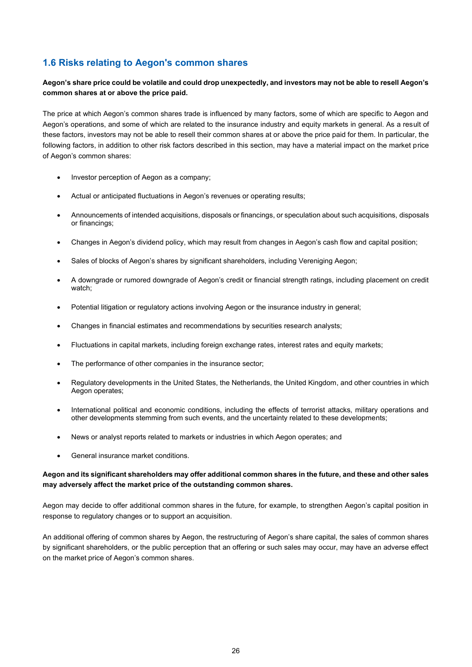# **1.6 Risks relating to Aegon's common shares**

# **Aegon's share price could be volatile and could drop unexpectedly, and investors may not be able to resell Aegon's common shares at or above the price paid.**

The price at which Aegon's common shares trade is influenced by many factors, some of which are specific to Aegon and Aegon's operations, and some of which are related to the insurance industry and equity markets in general. As a result of these factors, investors may not be able to resell their common shares at or above the price paid for them. In particular, the following factors, in addition to other risk factors described in this section, may have a material impact on the market price of Aegon's common shares:

- Investor perception of Aegon as a company;
- Actual or anticipated fluctuations in Aegon's revenues or operating results;
- Announcements of intended acquisitions, disposals or financings, or speculation about such acquisitions, disposals or financings;
- Changes in Aegon's dividend policy, which may result from changes in Aegon's cash flow and capital position;
- Sales of blocks of Aegon's shares by significant shareholders, including Vereniging Aegon;
- A downgrade or rumored downgrade of Aegon's credit or financial strength ratings, including placement on credit watch;
- Potential litigation or regulatory actions involving Aegon or the insurance industry in general;
- Changes in financial estimates and recommendations by securities research analysts;
- Fluctuations in capital markets, including foreign exchange rates, interest rates and equity markets;
- The performance of other companies in the insurance sector;
- Regulatory developments in the United States, the Netherlands, the United Kingdom, and other countries in which Aegon operates;
- International political and economic conditions, including the effects of terrorist attacks, military operations and other developments stemming from such events, and the uncertainty related to these developments;
- News or analyst reports related to markets or industries in which Aegon operates; and
- General insurance market conditions.

# **Aegon and its significant shareholders may offer additional common shares in the future, and these and other sales may adversely affect the market price of the outstanding common shares.**

Aegon may decide to offer additional common shares in the future, for example, to strengthen Aegon's capital position in response to regulatory changes or to support an acquisition.

An additional offering of common shares by Aegon, the restructuring of Aegon's share capital, the sales of common shares by significant shareholders, or the public perception that an offering or such sales may occur, may have an adverse effect on the market price of Aegon's common shares.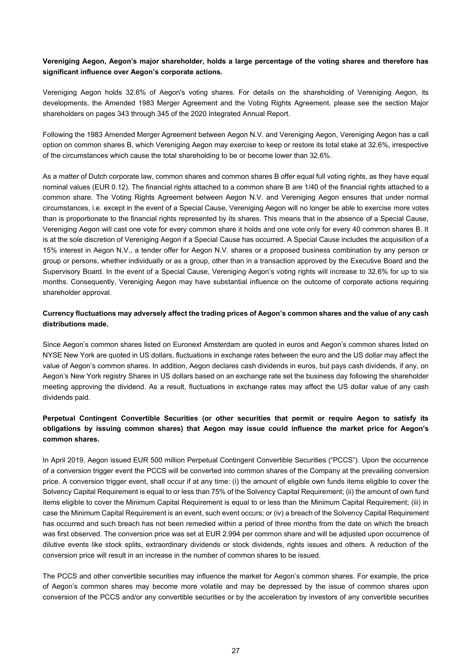# **Vereniging Aegon, Aegon's major shareholder, holds a large percentage of the voting shares and therefore has significant influence over Aegon's corporate actions.**

Vereniging Aegon holds 32.6% of Aegon's voting shares. For details on the shareholding of Vereniging Aegon, its developments, the Amended 1983 Merger Agreement and the Voting Rights Agreement, please see the section Major shareholders on pages 343 through 345 of the 2020 Integrated Annual Report.

Following the 1983 Amended Merger Agreement between Aegon N.V. and Vereniging Aegon, Vereniging Aegon has a call option on common shares B, which Vereniging Aegon may exercise to keep or restore its total stake at 32.6%, irrespective of the circumstances which cause the total shareholding to be or become lower than 32.6%.

As a matter of Dutch corporate law, common shares and common shares B offer equal full voting rights, as they have equal nominal values (EUR 0.12). The financial rights attached to a common share B are 1/40 of the financial rights attached to a common share. The Voting Rights Agreement between Aegon N.V. and Vereniging Aegon ensures that under normal circumstances, i.e. except in the event of a Special Cause, Vereniging Aegon will no longer be able to exercise more votes than is proportionate to the financial rights represented by its shares. This means that in the absence of a Special Cause, Vereniging Aegon will cast one vote for every common share it holds and one vote only for every 40 common shares B. It is at the sole discretion of Vereniging Aegon if a Special Cause has occurred. A Special Cause includes the acquisition of a 15% interest in Aegon N.V., a tender offer for Aegon N.V. shares or a proposed business combination by any person or group or persons, whether individually or as a group, other than in a transaction approved by the Executive Board and the Supervisory Board. In the event of a Special Cause, Vereniging Aegon's voting rights will increase to 32.6% for up to six months. Consequently, Vereniging Aegon may have substantial influence on the outcome of corporate actions requiring shareholder approval.

# **Currency fluctuations may adversely affect the trading prices of Aegon's common shares and the value of any cash distributions made.**

Since Aegon's common shares listed on Euronext Amsterdam are quoted in euros and Aegon's common shares listed on NYSE New York are quoted in US dollars, fluctuations in exchange rates between the euro and the US dollar may affect the value of Aegon's common shares. In addition, Aegon declares cash dividends in euros, but pays cash dividends, if any, on Aegon's New York registry Shares in US dollars based on an exchange rate set the business day following the shareholder meeting approving the dividend. As a result, fluctuations in exchange rates may affect the US dollar value of any cash dividends paid.

# **Perpetual Contingent Convertible Securities (or other securities that permit or require Aegon to satisfy its obligations by issuing common shares) that Aegon may issue could influence the market price for Aegon's common shares.**

In April 2019, Aegon issued EUR 500 million Perpetual Contingent Convertible Securities ("PCCS"). Upon the occurrence of a conversion trigger event the PCCS will be converted into common shares of the Company at the prevailing conversion price. A conversion trigger event, shall occur if at any time: (i) the amount of eligible own funds items eligible to cover the Solvency Capital Requirement is equal to or less than 75% of the Solvency Capital Requirement; (ii) the amount of own fund items eligible to cover the Minimum Capital Requirement is equal to or less than the Minimum Capital Requirement; (iii) in case the Minimum Capital Requirement is an event, such event occurs; or (iv) a breach of the Solvency Capital Requirement has occurred and such breach has not been remedied within a period of three months from the date on which the breach was first observed. The conversion price was set at EUR 2.994 per common share and will be adjusted upon occurrence of dilutive events like stock splits, extraordinary dividends or stock dividends, rights issues and others. A reduction of the conversion price will result in an increase in the number of common shares to be issued.

The PCCS and other convertible securities may influence the market for Aegon's common shares. For example, the price of Aegon's common shares may become more volatile and may be depressed by the issue of common shares upon conversion of the PCCS and/or any convertible securities or by the acceleration by investors of any convertible securities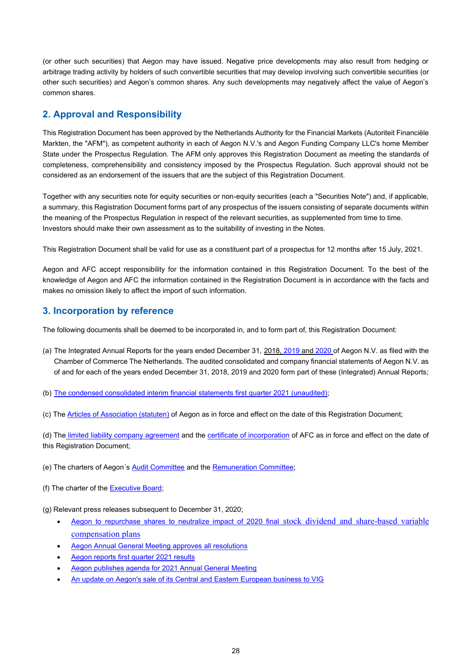(or other such securities) that Aegon may have issued. Negative price developments may also result from hedging or arbitrage trading activity by holders of such convertible securities that may develop involving such convertible securities (or other such securities) and Aegon's common shares. Any such developments may negatively affect the value of Aegon's common shares.

# **2. Approval and Responsibility**

This Registration Document has been approved by the Netherlands Authority for the Financial Markets (Autoriteit Financiële Markten, the "AFM"), as competent authority in each of Aegon N.V.'s and Aegon Funding Company LLC's home Member State under the Prospectus Regulation. The AFM only approves this Registration Document as meeting the standards of completeness, comprehensibility and consistency imposed by the Prospectus Regulation. Such approval should not be considered as an endorsement of the issuers that are the subject of this Registration Document.

Together with any securities note for equity securities or non-equity securities (each a "Securities Note") and, if applicable, a summary, this Registration Document forms part of any prospectus of the issuers consisting of separate documents within the meaning of the Prospectus Regulation in respect of the relevant securities, as supplemented from time to time. Investors should make their own assessment as to the suitability of investing in the Notes.

This Registration Document shall be valid for use as a constituent part of a prospectus for 12 months after 15 July, 2021.

Aegon and AFC accept responsibility for the information contained in this Registration Document. To the best of the knowledge of Aegon and AFC the information contained in the Registration Document is in accordance with the facts and makes no omission likely to affect the import of such information.

# **3. Incorporation by reference**

The following documents shall be deemed to be incorporated in, and to form part of, this Registration Document:

- (a) The Integrated Annual Reports for the years ended December 31, [2018,](https://www.aegon.com/contentassets/afc56056b80244ca85d0ab9c73f96a0a/aegon-integrated-annual-report-2018.pdf) [2019](https://www.aegon.com/contentassets/79a288251c844944933a1b189dc02d82/aegon-integrated-annual-report-2019.pdf) and [2020](https://www.aegon.com/contentassets/88a9aa9e0e484dec9791c3bb5945512b/aegon-integrated-annual-report-2020.pdf) of Aegon N.V. as filed with the Chamber of Commerce The Netherlands. The audited consolidated and company financial statements of Aegon N.V. as of and for each of the years ended December 31, 2018, 2019 and 2020 form part of these (Integrated) Annual Reports;
- (b) [The condensed consolidated interim financial statements first quarter 2021 \(unaudited\);](https://www.aegon.com/contentassets/28019b7a86ba4eddafd23df303f2f537/aegon-1q-2021-interim-financial-statements.pdf)
- (c) The [Articles of Association \(statuten\)](https://www.aegon.com/globalassets/corporate-2018/governance/governance-documents/articles-of-association-dutch.pdf) of Aegon as in force and effect on the date of this Registration Document;

(d) The [limited liability company agreement](https://www.aegon.com/globalassets/corporate-2018/governance/governance-documents/afc-amended-and-restated-limited-liability-company-operating-agreement.pdf) and the [certificate of incorporation](https://www.aegon.com/globalassets/corporate-2018/governance/governance-documents/afc-certifcates-of-conversion-and-formation.pdf.pdf) of AFC as in force and effect on the date of this Registration Document;

- (e) The charters of Aegon's **Audit Committee** and the **Remuneration Committee**;
- (f) The charter of the **Executive Board**;
- (g) Relevant press releases subsequent to December 31, 2020;
	- [Aegon to repurchase shares to neutralize impact of 2020 final](https://www.aegon.com/contentassets/6a9662c22c96487a8671cef3992aa341/pr-aegon-to-repurchase-shares-to-neutralize-2020-final-dividend-and-share-based-variable-compensation.pdf) stock dividend and share[-based variable](https://www.aegon.com/contentassets/6a9662c22c96487a8671cef3992aa341/pr-aegon-to-repurchase-shares-to-neutralize-2020-final-dividend-and-share-based-variable-compensation.pdf)  [compensation plans](https://www.aegon.com/contentassets/6a9662c22c96487a8671cef3992aa341/pr-aegon-to-repurchase-shares-to-neutralize-2020-final-dividend-and-share-based-variable-compensation.pdf)
	- [Aegon Annual General Meeting approves all resolutions](https://www.aegon.com/contentassets/d275beebedc14317ac597c4513be87d4/aegon-agm-adopts-all-resolutions.pdf)
	- [Aegon reports first quarter 2021 results](https://www.aegon.com/contentassets/2b2bf5c47a3148a78d15b3c68ed498b1/aegon-1q-2021-pr-results.pdf)
	- [Aegon publishes agenda for 2021 Annual General Meeting](https://www.aegon.com/contentassets/919c07a37ae845e0a0d06a4801fa5e24/pr-aegon-agm-2021-agenda.pdf)
	- [An update on Aegon's sale of its Central and Eastern European business to VIG](https://www.aegon.com/contentassets/07545cad13e645aa94dbe2f7a258ea8e/pr-aegon-provides-an-update-on-the-sale-of-its-cee-business-to-vig.pdf)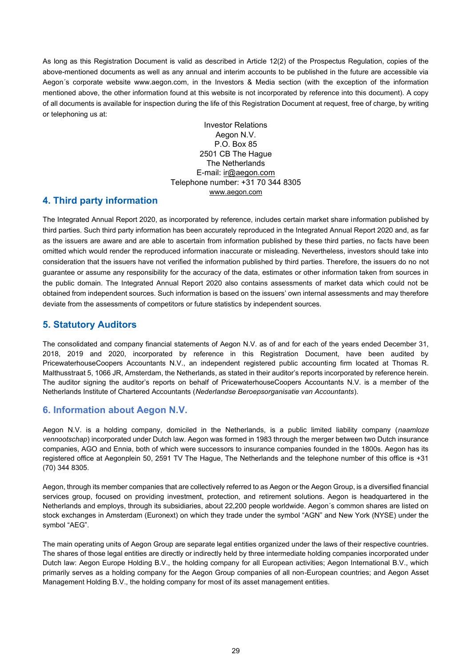As long as this Registration Document is valid as described in Article 12(2) of the Prospectus Regulation, copies of the above-mentioned documents as well as any annual and interim accounts to be published in the future are accessible via Aegon´s corporate website [www.aegon.com,](http://www.aegon.com/) in the Investors & Media section (with the exception of the information mentioned above, the other information found at this website is not incorporated by reference into this document). A copy of all documents is available for inspection during the life of this Registration Document at request, free of charge, by writing or telephoning us at:

> Investor Relations Aegon N.V. P.O. Box 85 2501 CB The Hague The Netherlands E-mail: [ir@aegon.com](mailto:ir@aegon.com) Telephone number: +31 70 344 8305 [www.aegon.com](http://www.aegon.com/)

# **4. Third party information**

The Integrated Annual Report 2020, as incorporated by reference, includes certain market share information published by third parties. Such third party information has been accurately reproduced in the Integrated Annual Report 2020 and, as far as the issuers are aware and are able to ascertain from information published by these third parties, no facts have been omitted which would render the reproduced information inaccurate or misleading. Nevertheless, investors should take into consideration that the issuers have not verified the information published by third parties. Therefore, the issuers do no not guarantee or assume any responsibility for the accuracy of the data, estimates or other information taken from sources in the public domain. The Integrated Annual Report 2020 also contains assessments of market data which could not be obtained from independent sources. Such information is based on the issuers' own internal assessments and may therefore deviate from the assessments of competitors or future statistics by independent sources.

# **5. Statutory Auditors**

The consolidated and company financial statements of Aegon N.V. as of and for each of the years ended December 31, 2018, 2019 and 2020, incorporated by reference in this Registration Document, have been audited by PricewaterhouseCoopers Accountants N.V., an independent registered public accounting firm located at Thomas R. Malthusstraat 5, 1066 JR, Amsterdam, the Netherlands, as stated in their auditor's reports incorporated by reference herein. The auditor signing the auditor's reports on behalf of PricewaterhouseCoopers Accountants N.V. is a member of the Netherlands Institute of Chartered Accountants (*Nederlandse Beroepsorganisatie van Accountants*).

# **6. Information about Aegon N.V.**

Aegon N.V. is a holding company, domiciled in the Netherlands, is a public limited liability company (*naamloze vennootschap*) incorporated under Dutch law. Aegon was formed in 1983 through the merger between two Dutch insurance companies, AGO and Ennia, both of which were successors to insurance companies founded in the 1800s. Aegon has its registered office at Aegonplein 50, 2591 TV The Hague, The Netherlands and the telephone number of this office is +31 (70) 344 8305.

Aegon, through its member companies that are collectively referred to as Aegon or the Aegon Group, is a diversified financial services group, focused on providing investment, protection, and retirement solutions. Aegon is headquartered in the Netherlands and employs, through its subsidiaries, about 22,200 people worldwide. Aegon´s common shares are listed on stock exchanges in Amsterdam (Euronext) on which they trade under the symbol "AGN" and New York (NYSE) under the symbol "AEG".

The main operating units of Aegon Group are separate legal entities organized under the laws of their respective countries. The shares of those legal entities are directly or indirectly held by three intermediate holding companies incorporated under Dutch law: Aegon Europe Holding B.V., the holding company for all European activities; Aegon International B.V., which primarily serves as a holding company for the Aegon Group companies of all non-European countries; and Aegon Asset Management Holding B.V., the holding company for most of its asset management entities.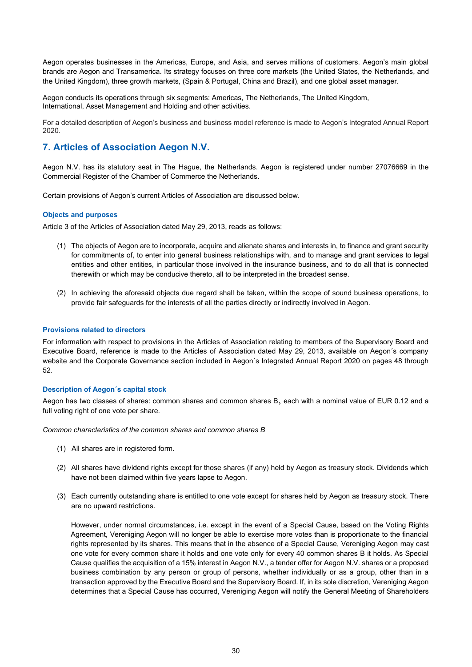Aegon operates businesses in the Americas, Europe, and Asia, and serves millions of customers. Aegon's main global brands are Aegon and Transamerica. Its strategy focuses on three core markets (the United States, the Netherlands, and the United Kingdom), three growth markets, (Spain & Portugal, China and Brazil), and one global asset manager.

Aegon conducts its operations through six segments: Americas, The Netherlands, The United Kingdom, International, Asset Management and Holding and other activities.

For a detailed description of Aegon's business and business model reference is made to Aegon's Integrated Annual Report 2020.

# **7. Articles of Association Aegon N.V.**

Aegon N.V. has its statutory seat in The Hague, the Netherlands. Aegon is registered under number 27076669 in the Commercial Register of the Chamber of Commerce the Netherlands.

Certain provisions of Aegon's current Articles of Association are discussed below.

#### **Objects and purposes**

Article 3 of the Articles of Association dated May 29, 2013, reads as follows:

- (1) The objects of Aegon are to incorporate, acquire and alienate shares and interests in, to finance and grant security for commitments of, to enter into general business relationships with, and to manage and grant services to legal entities and other entities, in particular those involved in the insurance business, and to do all that is connected therewith or which may be conducive thereto, all to be interpreted in the broadest sense.
- (2) In achieving the aforesaid objects due regard shall be taken, within the scope of sound business operations, to provide fair safeguards for the interests of all the parties directly or indirectly involved in Aegon.

#### **Provisions related to directors**

For information with respect to provisions in the Articles of Association relating to members of the Supervisory Board and Executive Board, reference is made to the Articles of Association dated May 29, 2013, available on Aegon´s company website and the Corporate Governance section included in Aegon´s Integrated Annual Report 2020 on pages 48 through 52.

#### **Description of Aegon´s capital stock**

Aegon has two classes of shares: common shares and common shares B, each with a nominal value of EUR 0.12 and a full voting right of one vote per share.

*Common characteristics of the common shares and common shares B*

- (1) All shares are in registered form.
- (2) All shares have dividend rights except for those shares (if any) held by Aegon as treasury stock. Dividends which have not been claimed within five years lapse to Aegon.
- (3) Each currently outstanding share is entitled to one vote except for shares held by Aegon as treasury stock. There are no upward restrictions.

However, under normal circumstances, i.e. except in the event of a Special Cause, based on the Voting Rights Agreement, Vereniging Aegon will no longer be able to exercise more votes than is proportionate to the financial rights represented by its shares. This means that in the absence of a Special Cause, Vereniging Aegon may cast one vote for every common share it holds and one vote only for every 40 common shares B it holds. As Special Cause qualifies the acquisition of a 15% interest in Aegon N.V., a tender offer for Aegon N.V. shares or a proposed business combination by any person or group of persons, whether individually or as a group, other than in a transaction approved by the Executive Board and the Supervisory Board. If, in its sole discretion, Vereniging Aegon determines that a Special Cause has occurred, Vereniging Aegon will notify the General Meeting of Shareholders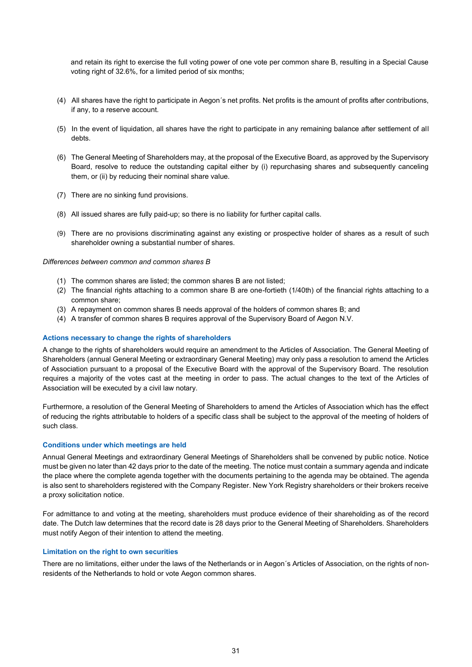and retain its right to exercise the full voting power of one vote per common share B, resulting in a Special Cause voting right of 32.6%, for a limited period of six months;

- (4) All shares have the right to participate in Aegon´s net profits. Net profits is the amount of profits after contributions, if any, to a reserve account.
- (5) In the event of liquidation, all shares have the right to participate in any remaining balance after settlement of all debts.
- (6) The General Meeting of Shareholders may, at the proposal of the Executive Board, as approved by the Supervisory Board, resolve to reduce the outstanding capital either by (i) repurchasing shares and subsequently canceling them, or (ii) by reducing their nominal share value.
- (7) There are no sinking fund provisions.
- (8) All issued shares are fully paid-up; so there is no liability for further capital calls.
- (9) There are no provisions discriminating against any existing or prospective holder of shares as a result of such shareholder owning a substantial number of shares.

#### *Differences between common and common shares B*

- (1) The common shares are listed; the common shares B are not listed;
- (2) The financial rights attaching to a common share B are one-fortieth (1/40th) of the financial rights attaching to a common share;
- (3) A repayment on common shares B needs approval of the holders of common shares B; and
- (4) A transfer of common shares B requires approval of the Supervisory Board of Aegon N.V.

#### **Actions necessary to change the rights of shareholders**

A change to the rights of shareholders would require an amendment to the Articles of Association. The General Meeting of Shareholders (annual General Meeting or extraordinary General Meeting) may only pass a resolution to amend the Articles of Association pursuant to a proposal of the Executive Board with the approval of the Supervisory Board. The resolution requires a majority of the votes cast at the meeting in order to pass. The actual changes to the text of the Articles of Association will be executed by a civil law notary.

Furthermore, a resolution of the General Meeting of Shareholders to amend the Articles of Association which has the effect of reducing the rights attributable to holders of a specific class shall be subject to the approval of the meeting of holders of such class.

#### **Conditions under which meetings are held**

Annual General Meetings and extraordinary General Meetings of Shareholders shall be convened by public notice. Notice must be given no later than 42 days prior to the date of the meeting. The notice must contain a summary agenda and indicate the place where the complete agenda together with the documents pertaining to the agenda may be obtained. The agenda is also sent to shareholders registered with the Company Register. New York Registry shareholders or their brokers receive a proxy solicitation notice.

For admittance to and voting at the meeting, shareholders must produce evidence of their shareholding as of the record date. The Dutch law determines that the record date is 28 days prior to the General Meeting of Shareholders. Shareholders must notify Aegon of their intention to attend the meeting.

#### **Limitation on the right to own securities**

There are no limitations, either under the laws of the Netherlands or in Aegon´s Articles of Association, on the rights of nonresidents of the Netherlands to hold or vote Aegon common shares.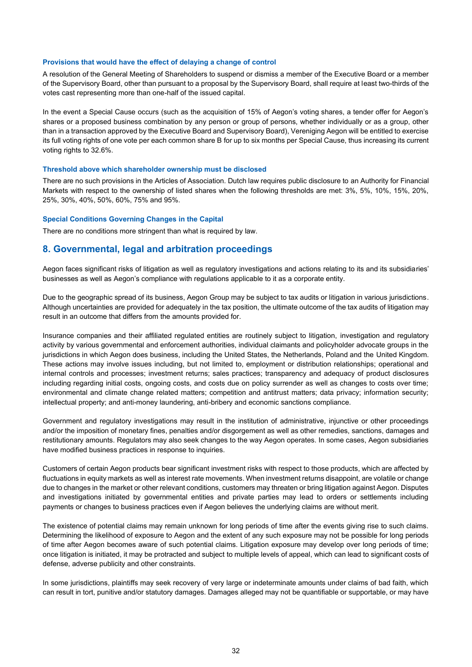#### **Provisions that would have the effect of delaying a change of control**

A resolution of the General Meeting of Shareholders to suspend or dismiss a member of the Executive Board or a member of the Supervisory Board, other than pursuant to a proposal by the Supervisory Board, shall require at least two-thirds of the votes cast representing more than one-half of the issued capital.

In the event a Special Cause occurs (such as the acquisition of 15% of Aegon's voting shares, a tender offer for Aegon's shares or a proposed business combination by any person or group of persons, whether individually or as a group, other than in a transaction approved by the Executive Board and Supervisory Board), Vereniging Aegon will be entitled to exercise its full voting rights of one vote per each common share B for up to six months per Special Cause, thus increasing its current voting rights to 32.6%.

#### **Threshold above which shareholder ownership must be disclosed**

There are no such provisions in the Articles of Association. Dutch law requires public disclosure to an Authority for Financial Markets with respect to the ownership of listed shares when the following thresholds are met: 3%, 5%, 10%, 15%, 20%, 25%, 30%, 40%, 50%, 60%, 75% and 95%.

#### **Special Conditions Governing Changes in the Capital**

There are no conditions more stringent than what is required by law.

# **8. Governmental, legal and arbitration proceedings**

Aegon faces significant risks of litigation as well as regulatory investigations and actions relating to its and its subsidiaries' businesses as well as Aegon's compliance with regulations applicable to it as a corporate entity.

Due to the geographic spread of its business, Aegon Group may be subject to tax audits or litigation in various jurisdictions. Although uncertainties are provided for adequately in the tax position, the ultimate outcome of the tax audits of litigation may result in an outcome that differs from the amounts provided for.

Insurance companies and their affiliated regulated entities are routinely subject to litigation, investigation and regulatory activity by various governmental and enforcement authorities, individual claimants and policyholder advocate groups in the jurisdictions in which Aegon does business, including the United States, the Netherlands, Poland and the United Kingdom. These actions may involve issues including, but not limited to, employment or distribution relationships; operational and internal controls and processes; investment returns; sales practices; transparency and adequacy of product disclosures including regarding initial costs, ongoing costs, and costs due on policy surrender as well as changes to costs over time; environmental and climate change related matters; competition and antitrust matters; data privacy; information security; intellectual property; and anti-money laundering, anti-bribery and economic sanctions compliance.

Government and regulatory investigations may result in the institution of administrative, injunctive or other proceedings and/or the imposition of monetary fines, penalties and/or disgorgement as well as other remedies, sanctions, damages and restitutionary amounts. Regulators may also seek changes to the way Aegon operates. In some cases, Aegon subsidiaries have modified business practices in response to inquiries.

Customers of certain Aegon products bear significant investment risks with respect to those products, which are affected by fluctuations in equity markets as well as interest rate movements. When investment returns disappoint, are volatile or change due to changes in the market or other relevant conditions, customers may threaten or bring litigation against Aegon. Disputes and investigations initiated by governmental entities and private parties may lead to orders or settlements including payments or changes to business practices even if Aegon believes the underlying claims are without merit.

The existence of potential claims may remain unknown for long periods of time after the events giving rise to such claims. Determining the likelihood of exposure to Aegon and the extent of any such exposure may not be possible for long periods of time after Aegon becomes aware of such potential claims. Litigation exposure may develop over long periods of time; once litigation is initiated, it may be protracted and subject to multiple levels of appeal, which can lead to significant costs of defense, adverse publicity and other constraints.

In some jurisdictions, plaintiffs may seek recovery of very large or indeterminate amounts under claims of bad faith, which can result in tort, punitive and/or statutory damages. Damages alleged may not be quantifiable or supportable, or may have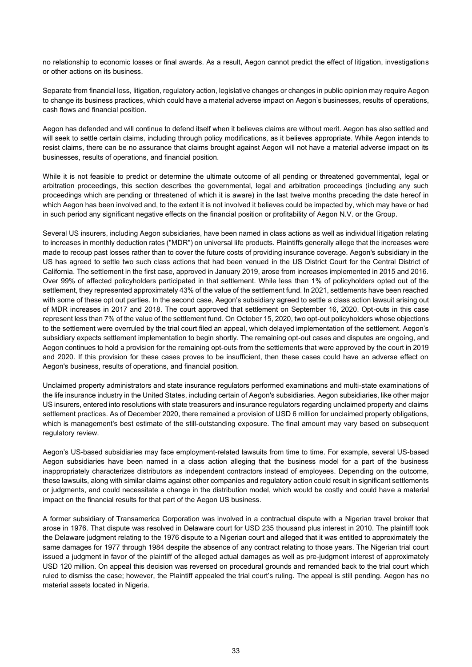no relationship to economic losses or final awards. As a result, Aegon cannot predict the effect of litigation, investigations or other actions on its business.

Separate from financial loss, litigation, regulatory action, legislative changes or changes in public opinion may require Aegon to change its business practices, which could have a material adverse impact on Aegon's businesses, results of operations, cash flows and financial position.

Aegon has defended and will continue to defend itself when it believes claims are without merit. Aegon has also settled and will seek to settle certain claims, including through policy modifications, as it believes appropriate. While Aegon intends to resist claims, there can be no assurance that claims brought against Aegon will not have a material adverse impact on its businesses, results of operations, and financial position.

While it is not feasible to predict or determine the ultimate outcome of all pending or threatened governmental, legal or arbitration proceedings, this section describes the governmental, legal and arbitration proceedings (including any such proceedings which are pending or threatened of which it is aware) in the last twelve months preceding the date hereof in which Aegon has been involved and, to the extent it is not involved it believes could be impacted by, which may have or had in such period any significant negative effects on the financial position or profitability of Aegon N.V. or the Group.

Several US insurers, including Aegon subsidiaries, have been named in class actions as well as individual litigation relating to increases in monthly deduction rates (''MDR'') on universal life products. Plaintiffs generally allege that the increases were made to recoup past losses rather than to cover the future costs of providing insurance coverage. Aegon's subsidiary in the US has agreed to settle two such class actions that had been venued in the US District Court for the Central District of California. The settlement in the first case, approved in January 2019, arose from increases implemented in 2015 and 2016. Over 99% of affected policyholders participated in that settlement. While less than 1% of policyholders opted out of the settlement, they represented approximately 43% of the value of the settlement fund. In 2021, settlements have been reached with some of these opt out parties. In the second case, Aegon's subsidiary agreed to settle a class action lawsuit arising out of MDR increases in 2017 and 2018. The court approved that settlement on September 16, 2020. Opt-outs in this case represent less than 7% of the value of the settlement fund. On October 15, 2020, two opt-out policyholders whose objections to the settlement were overruled by the trial court filed an appeal, which delayed implementation of the settlement. Aegon's subsidiary expects settlement implementation to begin shortly. The remaining opt-out cases and disputes are ongoing, and Aegon continues to hold a provision for the remaining opt-outs from the settlements that were approved by the court in 2019 and 2020. If this provision for these cases proves to be insufficient, then these cases could have an adverse effect on Aegon's business, results of operations, and financial position.

Unclaimed property administrators and state insurance regulators performed examinations and multi-state examinations of the life insurance industry in the United States, including certain of Aegon's subsidiaries. Aegon subsidiaries, like other major US insurers, entered into resolutions with state treasurers and insurance regulators regarding unclaimed property and claims settlement practices. As of December 2020, there remained a provision of USD 6 million for unclaimed property obligations, which is management's best estimate of the still-outstanding exposure. The final amount may vary based on subsequent regulatory review.

Aegon's US-based subsidiaries may face employment-related lawsuits from time to time. For example, several US-based Aegon subsidiaries have been named in a class action alleging that the business model for a part of the business inappropriately characterizes distributors as independent contractors instead of employees. Depending on the outcome, these lawsuits, along with similar claims against other companies and regulatory action could result in significant settlements or judgments, and could necessitate a change in the distribution model, which would be costly and could have a material impact on the financial results for that part of the Aegon US business.

A former subsidiary of Transamerica Corporation was involved in a contractual dispute with a Nigerian travel broker that arose in 1976. That dispute was resolved in Delaware court for USD 235 thousand plus interest in 2010. The plaintiff took the Delaware judgment relating to the 1976 dispute to a Nigerian court and alleged that it was entitled to approximately the same damages for 1977 through 1984 despite the absence of any contract relating to those years. The Nigerian trial court issued a judgment in favor of the plaintiff of the alleged actual damages as well as pre-judgment interest of approximately USD 120 million. On appeal this decision was reversed on procedural grounds and remanded back to the trial court which ruled to dismiss the case; however, the Plaintiff appealed the trial court's ruling. The appeal is still pending. Aegon has no material assets located in Nigeria.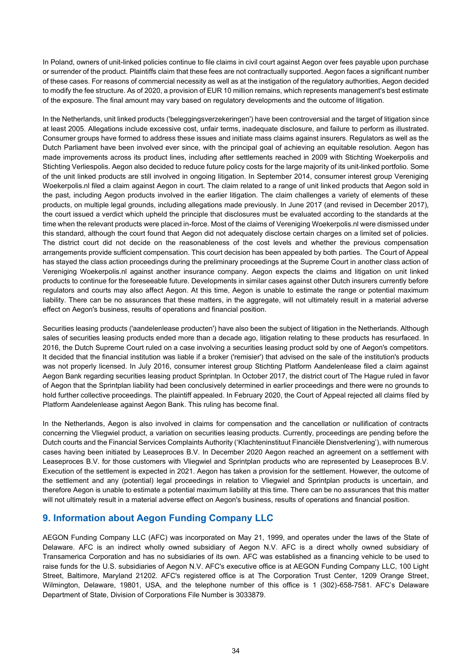In Poland, owners of unit-linked policies continue to file claims in civil court against Aegon over fees payable upon purchase or surrender of the product. Plaintiffs claim that these fees are not contractually supported. Aegon faces a significant number of these cases. For reasons of commercial necessity as well as at the instigation of the regulatory authorities, Aegon decided to modify the fee structure. As of 2020, a provision of EUR 10 million remains, which represents management's best estimate of the exposure. The final amount may vary based on regulatory developments and the outcome of litigation.

In the Netherlands, unit linked products ('beleggingsverzekeringen') have been controversial and the target of litigation since at least 2005. Allegations include excessive cost, unfair terms, inadequate disclosure, and failure to perform as illustrated. Consumer groups have formed to address these issues and initiate mass claims against insurers. Regulators as well as the Dutch Parliament have been involved ever since, with the principal goal of achieving an equitable resolution. Aegon has made improvements across its product lines, including after settlements reached in 2009 with Stichting Woekerpolis and Stichting Verliespolis. Aegon also decided to reduce future policy costs for the large majority of its unit-linked portfolio. Some of the unit linked products are still involved in ongoing litigation. In September 2014, consumer interest group Vereniging Woekerpolis.nl filed a claim against Aegon in court. The claim related to a range of unit linked products that Aegon sold in the past, including Aegon products involved in the earlier litigation. The claim challenges a variety of elements of these products, on multiple legal grounds, including allegations made previously. In June 2017 (and revised in December 2017), the court issued a verdict which upheld the principle that disclosures must be evaluated according to the standards at the time when the relevant products were placed in-force. Most of the claims of Vereniging Woekerpolis.nl were dismissed under this standard, although the court found that Aegon did not adequately disclose certain charges on a limited set of policies. The district court did not decide on the reasonableness of the cost levels and whether the previous compensation arrangements provide sufficient compensation. This court decision has been appealed by both parties. The Court of Appeal has stayed the class action proceedings during the preliminary proceedings at the Supreme Court in another class action of Vereniging Woekerpolis.nl against another insurance company. Aegon expects the claims and litigation on unit linked products to continue for the foreseeable future. Developments in similar cases against other Dutch insurers currently before regulators and courts may also affect Aegon. At this time, Aegon is unable to estimate the range or potential maximum liability. There can be no assurances that these matters, in the aggregate, will not ultimately result in a material adverse effect on Aegon's business, results of operations and financial position.

Securities leasing products ('aandelenlease producten') have also been the subject of litigation in the Netherlands. Although sales of securities leasing products ended more than a decade ago, litigation relating to these products has resurfaced. In 2016, the Dutch Supreme Court ruled on a case involving a securities leasing product sold by one of Aegon's competitors. It decided that the financial institution was liable if a broker ('remisier') that advised on the sale of the institution's products was not properly licensed. In July 2016, consumer interest group Stichting Platform Aandelenlease filed a claim against Aegon Bank regarding securities leasing product Sprintplan. In October 2017, the district court of The Hague ruled in favor of Aegon that the Sprintplan liability had been conclusively determined in earlier proceedings and there were no grounds to hold further collective proceedings. The plaintiff appealed. In February 2020, the Court of Appeal rejected all claims filed by Platform Aandelenlease against Aegon Bank. This ruling has become final.

In the Netherlands, Aegon is also involved in claims for compensation and the cancellation or nullification of contracts concerning the Vliegwiel product, a variation on securities leasing products. Currently, proceedings are pending before the Dutch courts and the Financial Services Complaints Authority ('Klachteninstituut Financiële Dienstverlening'), with numerous cases having been initiated by Leaseproces B.V. In December 2020 Aegon reached an agreement on a settlement with Leaseproces B.V. for those customers with Vliegwiel and Sprintplan products who are represented by Leaseproces B.V. Execution of the settlement is expected in 2021. Aegon has taken a provision for the settlement. However, the outcome of the settlement and any (potential) legal proceedings in relation to Vliegwiel and Sprintplan products is uncertain, and therefore Aegon is unable to estimate a potential maximum liability at this time. There can be no assurances that this matter will not ultimately result in a material adverse effect on Aegon's business, results of operations and financial position.

# **9. Information about Aegon Funding Company LLC**

AEGON Funding Company LLC (AFC) was incorporated on May 21, 1999, and operates under the laws of the State of Delaware. AFC is an indirect wholly owned subsidiary of Aegon N.V. AFC is a direct wholly owned subsidiary of Transamerica Corporation and has no subsidiaries of its own. AFC was established as a financing vehicle to be used to raise funds for the U.S. subsidiaries of Aegon N.V. AFC's executive office is at AEGON Funding Company LLC, 100 Light Street, Baltimore, Maryland 21202. AFC's registered office is at The Corporation Trust Center, 1209 Orange Street, Wilmington, Delaware, 19801, USA, and the telephone number of this office is 1 (302)-658-7581. AFC's Delaware Department of State, Division of Corporations File Number is 3033879.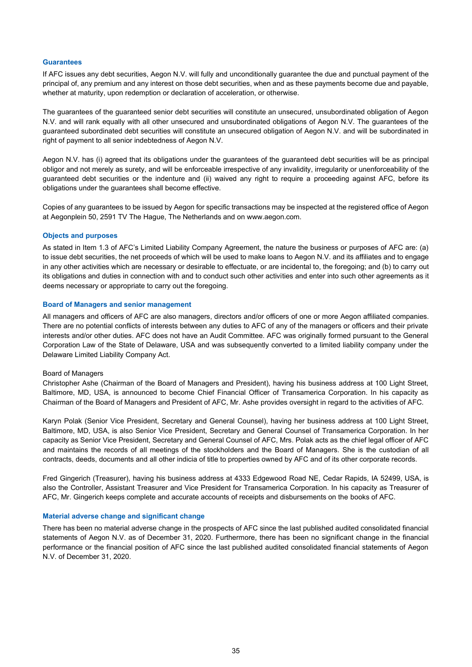#### **Guarantees**

If AFC issues any debt securities, Aegon N.V. will fully and unconditionally guarantee the due and punctual payment of the principal of, any premium and any interest on those debt securities, when and as these payments become due and payable, whether at maturity, upon redemption or declaration of acceleration, or otherwise.

The guarantees of the guaranteed senior debt securities will constitute an unsecured, unsubordinated obligation of Aegon N.V. and will rank equally with all other unsecured and unsubordinated obligations of Aegon N.V. The guarantees of the guaranteed subordinated debt securities will constitute an unsecured obligation of Aegon N.V. and will be subordinated in right of payment to all senior indebtedness of Aegon N.V.

Aegon N.V. has (i) agreed that its obligations under the guarantees of the guaranteed debt securities will be as principal obligor and not merely as surety, and will be enforceable irrespective of any invalidity, irregularity or unenforceability of the guaranteed debt securities or the indenture and (ii) waived any right to require a proceeding against AFC, before its obligations under the guarantees shall become effective.

Copies of any guarantees to be issued by Aegon for specific transactions may be inspected at the registered office of Aegon at Aegonplein 50, 2591 TV The Hague, The Netherlands and on www.aegon.com.

#### **Objects and purposes**

As stated in Item 1.3 of AFC's Limited Liability Company Agreement, the nature the business or purposes of AFC are: (a) to issue debt securities, the net proceeds of which will be used to make loans to Aegon N.V. and its affiliates and to engage in any other activities which are necessary or desirable to effectuate, or are incidental to, the foregoing; and (b) to carry out its obligations and duties in connection with and to conduct such other activities and enter into such other agreements as it deems necessary or appropriate to carry out the foregoing.

#### **Board of Managers and senior management**

All managers and officers of AFC are also managers, directors and/or officers of one or more Aegon affiliated companies. There are no potential conflicts of interests between any duties to AFC of any of the managers or officers and their private interests and/or other duties. AFC does not have an Audit Committee. AFC was originally formed pursuant to the General Corporation Law of the State of Delaware, USA and was subsequently converted to a limited liability company under the Delaware Limited Liability Company Act.

#### Board of Managers

Christopher Ashe (Chairman of the Board of Managers and President), having his business address at 100 Light Street, Baltimore, MD, USA, is announced to become Chief Financial Officer of Transamerica Corporation. In his capacity as Chairman of the Board of Managers and President of AFC, Mr. Ashe provides oversight in regard to the activities of AFC.

Karyn Polak (Senior Vice President, Secretary and General Counsel), having her business address at 100 Light Street, Baltimore, MD, USA, is also Senior Vice President, Secretary and General Counsel of Transamerica Corporation. In her capacity as Senior Vice President, Secretary and General Counsel of AFC, Mrs. Polak acts as the chief legal officer of AFC and maintains the records of all meetings of the stockholders and the Board of Managers. She is the custodian of all contracts, deeds, documents and all other indicia of title to properties owned by AFC and of its other corporate records.

Fred Gingerich (Treasurer), having his business address at 4333 Edgewood Road NE, Cedar Rapids, IA 52499, USA, is also the Controller, Assistant Treasurer and Vice President for Transamerica Corporation. In his capacity as Treasurer of AFC, Mr. Gingerich keeps complete and accurate accounts of receipts and disbursements on the books of AFC.

#### **Material adverse change and significant change**

There has been no material adverse change in the prospects of AFC since the last published audited consolidated financial statements of Aegon N.V. as of December 31, 2020. Furthermore, there has been no significant change in the financial performance or the financial position of AFC since the last published audited consolidated financial statements of Aegon N.V. of December 31, 2020.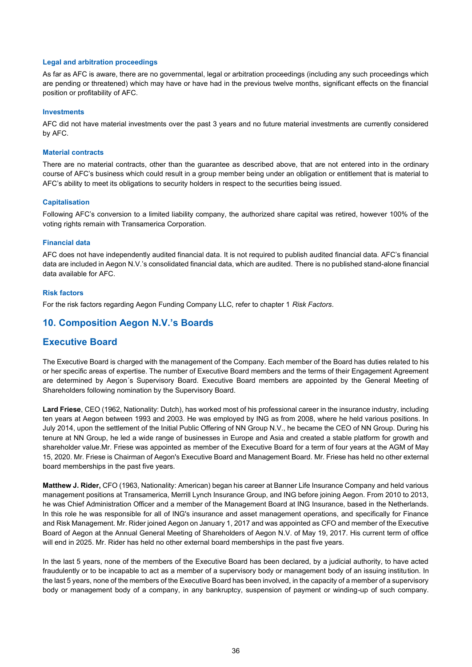#### **Legal and arbitration proceedings**

As far as AFC is aware, there are no governmental, legal or arbitration proceedings (including any such proceedings which are pending or threatened) which may have or have had in the previous twelve months, significant effects on the financial position or profitability of AFC.

#### **Investments**

AFC did not have material investments over the past 3 years and no future material investments are currently considered by AFC.

#### **Material contracts**

There are no material contracts, other than the guarantee as described above, that are not entered into in the ordinary course of AFC's business which could result in a group member being under an obligation or entitlement that is material to AFC's ability to meet its obligations to security holders in respect to the securities being issued.

#### **Capitalisation**

Following AFC's conversion to a limited liability company, the authorized share capital was retired, however 100% of the voting rights remain with Transamerica Corporation.

#### **Financial data**

AFC does not have independently audited financial data. It is not required to publish audited financial data. AFC's financial data are included in Aegon N.V.'s consolidated financial data, which are audited. There is no published stand-alone financial data available for AFC.

#### **Risk factors**

For the risk factors regarding Aegon Funding Company LLC, refer to chapter 1 *Risk Factors*.

# **10. Composition Aegon N.V.'s Boards**

# **Executive Board**

The Executive Board is charged with the management of the Company. Each member of the Board has duties related to his or her specific areas of expertise. The number of Executive Board members and the terms of their Engagement Agreement are determined by Aegon´s Supervisory Board. Executive Board members are appointed by the General Meeting of Shareholders following nomination by the Supervisory Board.

**Lard Friese**, CEO (1962, Nationality: Dutch), has worked most of his professional career in the insurance industry, including ten years at Aegon between 1993 and 2003. He was employed by ING as from 2008, where he held various positions. In July 2014, upon the settlement of the Initial Public Offering of NN Group N.V., he became the CEO of NN Group. During his tenure at NN Group, he led a wide range of businesses in Europe and Asia and created a stable platform for growth and shareholder value.Mr. Friese was appointed as member of the Executive Board for a term of four years at the AGM of May 15, 2020. Mr. Friese is Chairman of Aegon's Executive Board and Management Board. Mr. Friese has held no other external board memberships in the past five years.

**Matthew J. Rider,** CFO (1963, Nationality: American) began his career at Banner Life Insurance Company and held various management positions at Transamerica, Merrill Lynch Insurance Group, and ING before joining Aegon. From 2010 to 2013, he was Chief Administration Officer and a member of the Management Board at ING Insurance, based in the Netherlands. In this role he was responsible for all of ING's insurance and asset management operations, and specifically for Finance and Risk Management. Mr. Rider joined Aegon on January 1, 2017 and was appointed as CFO and member of the Executive Board of Aegon at the Annual General Meeting of Shareholders of Aegon N.V. of May 19, 2017. His current term of office will end in 2025. Mr. Rider has held no other external board memberships in the past five years.

In the last 5 years, none of the members of the Executive Board has been declared, by a judicial authority, to have acted fraudulently or to be incapable to act as a member of a supervisory body or management body of an issuing institution. In the last 5 years, none of the members of the Executive Board has been involved, in the capacity of a member of a supervisory body or management body of a company, in any bankruptcy, suspension of payment or winding-up of such company.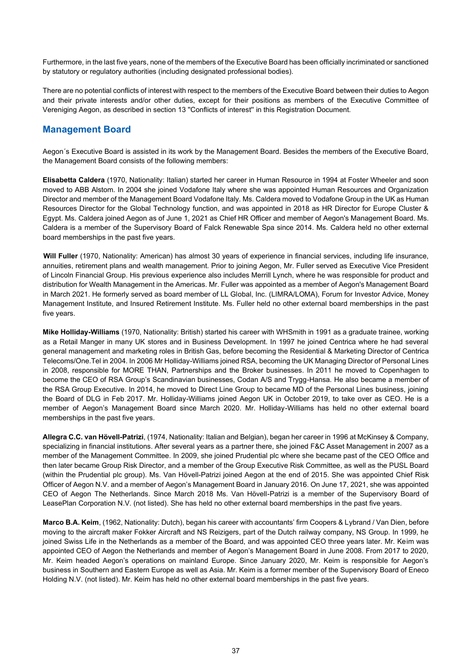Furthermore, in the last five years, none of the members of the Executive Board has been officially incriminated or sanctioned by statutory or regulatory authorities (including designated professional bodies).

There are no potential conflicts of interest with respect to the members of the Executive Board between their duties to Aegon and their private interests and/or other duties, except for their positions as members of the Executive Committee of Vereniging Aegon, as described in section 13 ''Conflicts of interest'' in this Registration Document.

# **Management Board**

Aegon´s Executive Board is assisted in its work by the Management Board. Besides the members of the Executive Board, the Management Board consists of the following members:

**Elisabetta Caldera** (1970, Nationality: Italian) started her career in Human Resource in 1994 at Foster Wheeler and soon moved to ABB Alstom. In 2004 she joined Vodafone Italy where she was appointed Human Resources and Organization Director and member of the Management Board Vodafone Italy. Ms. Caldera moved to Vodafone Group in the UK as Human Resources Director for the Global Technology function, and was appointed in 2018 as HR Director for Europe Cluster & Egypt. Ms. Caldera joined Aegon as of June 1, 2021 as Chief HR Officer and member of Aegon's Management Board. Ms. Caldera is a member of the Supervisory Board of Falck Renewable Spa since 2014. Ms. Caldera held no other external board memberships in the past five years.

**Will Fuller** (1970, Nationality: American) has almost 30 years of experience in financial services, including life insurance, annuities, retirement plans and wealth management. Prior to joining Aegon, Mr. Fuller served as Executive Vice President of Lincoln Financial Group. His previous experience also includes Merrill Lynch, where he was responsible for product and distribution for Wealth Management in the Americas. Mr. Fuller was appointed as a member of Aegon's Management Board in March 2021. He formerly served as board member of LL Global, Inc. (LIMRA/LOMA), Forum for Investor Advice, Money Management Institute, and Insured Retirement Institute. Ms. Fuller held no other external board memberships in the past five years.

**Mike Holliday-Williams** (1970, Nationality: British) started his career with WHSmith in 1991 as a graduate trainee, working as a Retail Manger in many UK stores and in Business Development. In 1997 he joined Centrica where he had several general management and marketing roles in British Gas, before becoming the Residential & Marketing Director of Centrica Telecoms/One.Tel in 2004. In 2006 Mr Holliday-Williams joined RSA, becoming the UK Managing Director of Personal Lines in 2008, responsible for MORE THAN, Partnerships and the Broker businesses. In 2011 he moved to Copenhagen to become the CEO of RSA Group's Scandinavian businesses, Codan A/S and Trygg-Hansa. He also became a member of the RSA Group Executive. In 2014, he moved to Direct Line Group to became MD of the Personal Lines business, joining the Board of DLG in Feb 2017. Mr. Holliday-Williams joined Aegon UK in October 2019, to take over as CEO. He is a member of Aegon's Management Board since March 2020. Mr. Holliday-Williams has held no other external board memberships in the past five years.

**Allegra C.C. van Hövell-Patrizi**, (1974, Nationality: Italian and Belgian), began her career in 1996 at McKinsey & Company, specializing in financial institutions. After several years as a partner there, she joined F&C Asset Management in 2007 as a member of the Management Committee. In 2009, she joined Prudential plc where she became past of the CEO Office and then later became Group Risk Director, and a member of the Group Executive Risk Committee, as well as the PUSL Board (within the Prudential plc group). Ms. Van Hövell-Patrizi joined Aegon at the end of 2015. She was appointed Chief Risk Officer of Aegon N.V. and a member of Aegon's Management Board in January 2016. On June 17, 2021, she was appointed CEO of Aegon The Netherlands. Since March 2018 Ms. Van Hövell-Patrizi is a member of the Supervisory Board of LeasePlan Corporation N.V. (not listed). She has held no other external board memberships in the past five years.

**Marco B.A. Keim**, (1962, Nationality: Dutch), began his career with accountants' firm Coopers & Lybrand / Van Dien, before moving to the aircraft maker Fokker Aircraft and NS Reizigers, part of the Dutch railway company, NS Group. In 1999, he joined Swiss Life in the Netherlands as a member of the Board, and was appointed CEO three years later. Mr. Keim was appointed CEO of Aegon the Netherlands and member of Aegon's Management Board in June 2008. From 2017 to 2020, Mr. Keim headed Aegon's operations on mainland Europe. Since January 2020, Mr. Keim is responsible for Aegon's business in Southern and Eastern Europe as well as Asia. Mr. Keim is a former member of the Supervisory Board of Eneco Holding N.V. (not listed). Mr. Keim has held no other external board memberships in the past five years.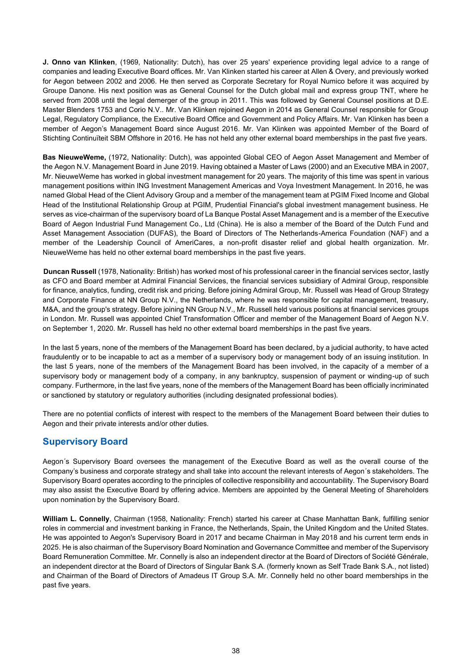**J. Onno van Klinken**, (1969, Nationality: Dutch), has over 25 years' experience providing legal advice to a range of companies and leading Executive Board offices. Mr. Van Klinken started his career at Allen & Overy, and previously worked for Aegon between 2002 and 2006. He then served as Corporate Secretary for Royal Numico before it was acquired by Groupe Danone. His next position was as General Counsel for the Dutch global mail and express group TNT, where he served from 2008 until the legal demerger of the group in 2011. This was followed by General Counsel positions at D.E. Master Blenders 1753 and Corio N.V.. Mr. Van Klinken rejoined Aegon in 2014 as General Counsel responsible for Group Legal, Regulatory Compliance, the Executive Board Office and Government and Policy Affairs. Mr. Van Klinken has been a member of Aegon's Management Board since August 2016. Mr. Van Klinken was appointed Member of the Board of Stichting Continuïteit SBM Offshore in 2016. He has not held any other external board memberships in the past five years.

**Bas NieuweWeme,** (1972, Nationality: Dutch), was appointed Global CEO of Aegon Asset Management and Member of the Aegon N.V. Management Board in June 2019. Having obtained a Master of Laws (2000) and an Executive MBA in 2007, Mr. NieuweWeme has worked in global investment management for 20 years. The majority of this time was spent in various management positions within ING Investment Management Americas and Voya Investment Management. In 2016, he was named Global Head of the Client Advisory Group and a member of the management team at PGIM Fixed Income and Global Head of the Institutional Relationship Group at PGIM, Prudential Financial's global investment management business. He serves as vice-chairman of the supervisory board of La Banque Postal Asset Management and is a member of the Executive Board of Aegon Industrial Fund Management Co., Ltd (China). He is also a member of the Board of the Dutch Fund and Asset Management Association (DUFAS), the Board of Directors of The Netherlands-America Foundation (NAF) and a member of the Leadership Council of AmeriCares, a non-profit disaster relief and global health organization. Mr. NieuweWeme has held no other external board memberships in the past five years.

**Duncan Russell** (1978, Nationality: British) has worked most of his professional career in the financial services sector, lastly as CFO and Board member at Admiral Financial Services, the financial services subsidiary of Admiral Group, responsible for finance, analytics, funding, credit risk and pricing. Before joining Admiral Group, Mr. Russell was Head of Group Strategy and Corporate Finance at NN Group N.V., the Netherlands, where he was responsible for capital management, treasury, M&A, and the group's strategy. Before joining NN Group N.V., Mr. Russell held various positions at financial services groups in London. Mr. Russell was appointed Chief Transformation Officer and member of the Management Board of Aegon N.V. on September 1, 2020. Mr. Russell has held no other external board memberships in the past five years.

In the last 5 years, none of the members of the Management Board has been declared, by a judicial authority, to have acted fraudulently or to be incapable to act as a member of a supervisory body or management body of an issuing institution. In the last 5 years, none of the members of the Management Board has been involved, in the capacity of a member of a supervisory body or management body of a company, in any bankruptcy, suspension of payment or winding-up of such company. Furthermore, in the last five years, none of the members of the Management Board has been officially incriminated or sanctioned by statutory or regulatory authorities (including designated professional bodies).

There are no potential conflicts of interest with respect to the members of the Management Board between their duties to Aegon and their private interests and/or other duties.

# **Supervisory Board**

Aegon´s Supervisory Board oversees the management of the Executive Board as well as the overall course of the Company's business and corporate strategy and shall take into account the relevant interests of Aegon´s stakeholders. The Supervisory Board operates according to the principles of collective responsibility and accountability. The Supervisory Board may also assist the Executive Board by offering advice. Members are appointed by the General Meeting of Shareholders upon nomination by the Supervisory Board.

**William L. Connelly**, Chairman (1958, Nationality: French) started his career at Chase Manhattan Bank, fulfilling senior roles in commercial and investment banking in France, the Netherlands, Spain, the United Kingdom and the United States. He was appointed to Aegon's Supervisory Board in 2017 and became Chairman in May 2018 and his current term ends in 2025. He is also chairman of the Supervisory Board Nomination and Governance Committee and member of the Supervisory Board Remuneration Committee. Mr. Connelly is also an independent director at the Board of Directors of Société Générale, an independent director at the Board of Directors of Singular Bank S.A. (formerly known as Self Trade Bank S.A., not listed) and Chairman of the Board of Directors of Amadeus IT Group S.A. Mr. Connelly held no other board memberships in the past five years.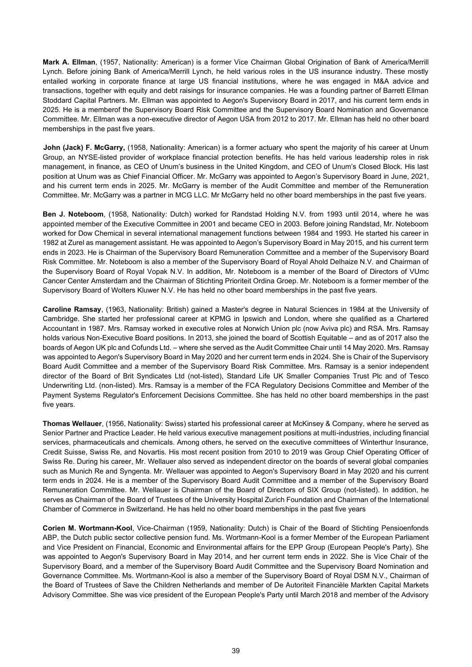**Mark A. Ellman**, (1957, Nationality: American) is a former Vice Chairman Global Origination of Bank of America/Merrill Lynch. Before joining Bank of America/Merrill Lynch, he held various roles in the US insurance industry. These mostly entailed working in corporate finance at large US financial institutions, where he was engaged in M&A advice and transactions, together with equity and debt raisings for insurance companies. He was a founding partner of Barrett Ellman Stoddard Capital Partners. Mr. Ellman was appointed to Aegon's Supervisory Board in 2017, and his current term ends in 2025. He is a memberof the Supervisory Board Risk Committee and the Supervisory Board Nomination and Governance Committee. Mr. Ellman was a non-executive director of Aegon USA from 2012 to 2017. Mr. Ellman has held no other board memberships in the past five years.

**John (Jack) F. McGarry,** (1958, Nationality: American) is a former actuary who spent the majority of his career at Unum Group, an NYSE-listed provider of workplace financial protection benefits. He has held various leadership roles in risk management, in finance, as CEO of Unum's business in the United Kingdom, and CEO of Unum's Closed Block. His last position at Unum was as Chief Financial Officer. Mr. McGarry was appointed to Aegon's Supervisory Board in June, 2021, and his current term ends in 2025. Mr. McGarry is member of the Audit Committee and member of the Remuneration Committee. Mr. McGarry was a partner in MCG LLC. Mr McGarry held no other board memberships in the past five years.

**Ben J. Noteboom**, (1958, Nationality: Dutch) worked for Randstad Holding N.V. from 1993 until 2014, where he was appointed member of the Executive Committee in 2001 and became CEO in 2003. Before joining Randstad, Mr. Noteboom worked for Dow Chemical in several international management functions between 1984 and 1993. He started his career in 1982 at Zurel as management assistant. He was appointed to Aegon's Supervisory Board in May 2015, and his current term ends in 2023. He is Chairman of the Supervisory Board Remuneration Committee and a member of the Supervisory Board Risk Committee. Mr. Noteboom is also a member of the Supervisory Board of Royal Ahold Delhaize N.V. and Chairman of the Supervisory Board of Royal Vopak N.V. In addition, Mr. Noteboom is a member of the Board of Directors of VUmc Cancer Center Amsterdam and the Chairman of Stichting Prioriteit Ordina Groep. Mr. Noteboom is a former member of the Supervisory Board of Wolters Kluwer N.V. He has held no other board memberships in the past five years.

**Caroline Ramsay**, (1963, Nationality: British) gained a Master's degree in Natural Sciences in 1984 at the University of Cambridge. She started her professional career at KPMG in Ipswich and London, where she qualified as a Chartered Accountant in 1987. Mrs. Ramsay worked in executive roles at Norwich Union plc (now Aviva plc) and RSA. Mrs. Ramsay holds various Non-Executive Board positions. In 2013, she joined the board of Scottish Equitable – and as of 2017 also the boards of Aegon UK plc and Cofunds Ltd. – where she served as the Audit Committee Chair until 14 May 2020. Mrs. Ramsay was appointed to Aegon's Supervisory Board in May 2020 and her current term ends in 2024. She is Chair of the Supervisory Board Audit Committee and a member of the Supervisory Board Risk Committee. Mrs. Ramsay is a senior independent director of the Board of Brit Syndicates Ltd (not-listed), Standard Life UK Smaller Companies Trust Plc and of Tesco Underwriting Ltd. (non-listed). Mrs. Ramsay is a member of the FCA Regulatory Decisions Committee and Member of the Payment Systems Regulator's Enforcement Decisions Committee. She has held no other board memberships in the past five years.

**Thomas Wellauer**, (1956, Nationality: Swiss) started his professional career at McKinsey & Company, where he served as Senior Partner and Practice Leader. He held various executive management positions at multi-industries, including financial services, pharmaceuticals and chemicals. Among others, he served on the executive committees of Winterthur Insurance, Credit Suisse, Swiss Re, and Novartis. His most recent position from 2010 to 2019 was Group Chief Operating Officer of Swiss Re. During his career, Mr. Wellauer also served as independent director on the boards of several global companies such as Munich Re and Syngenta. Mr. Wellauer was appointed to Aegon's Supervisory Board in May 2020 and his current term ends in 2024. He is a member of the Supervisory Board Audit Committee and a member of the Supervisory Board Remuneration Committee. Mr. Wellauer is Chairman of the Board of Directors of SIX Group (not-listed). In addition, he serves as Chairman of the Board of Trustees of the University Hospital Zurich Foundation and Chairman of the International Chamber of Commerce in Switzerland. He has held no other board memberships in the past five years

**Corien M. Wortmann-Kool**, Vice-Chairman (1959, Nationality: Dutch) is Chair of the Board of Stichting Pensioenfonds ABP, the Dutch public sector collective pension fund. Ms. Wortmann-Kool is a former Member of the European Parliament and Vice President on Financial, Economic and Environmental affairs for the EPP Group (European People's Party). She was appointed to Aegon's Supervisory Board in May 2014, and her current term ends in 2022. She is Vice Chair of the Supervisory Board, and a member of the Supervisory Board Audit Committee and the Supervisory Board Nomination and Governance Committee. Ms. Wortmann-Kool is also a member of the Supervisory Board of Royal DSM N.V., Chairman of the Board of Trustees of Save the Children Netherlands and member of De Autoriteit Financiële Markten Capital Markets Advisory Committee. She was vice president of the European People's Party until March 2018 and member of the Advisory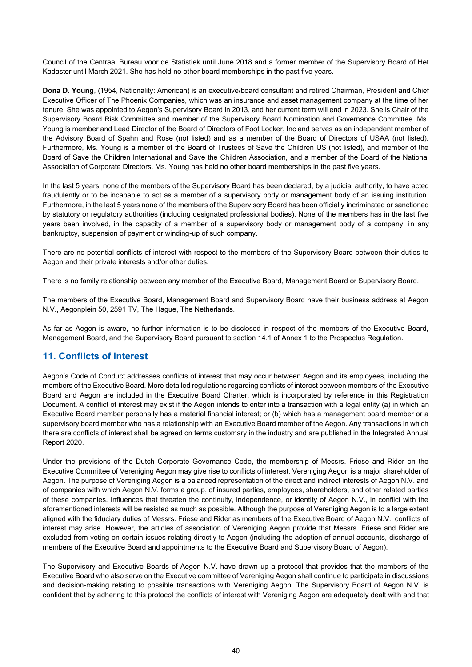Council of the Centraal Bureau voor de Statistiek until June 2018 and a former member of the Supervisory Board of Het Kadaster until March 2021. She has held no other board memberships in the past five years.

**Dona D. Young**, (1954, Nationality: American) is an executive/board consultant and retired Chairman, President and Chief Executive Officer of The Phoenix Companies, which was an insurance and asset management company at the time of her tenure. She was appointed to Aegon's Supervisory Board in 2013, and her current term will end in 2023. She is Chair of the Supervisory Board Risk Committee and member of the Supervisory Board Nomination and Governance Committee. Ms. Young is member and Lead Director of the Board of Directors of Foot Locker, Inc and serves as an independent member of the Advisory Board of Spahn and Rose (not listed) and as a member of the Board of Directors of USAA (not listed). Furthermore, Ms. Young is a member of the Board of Trustees of Save the Children US (not listed), and member of the Board of Save the Children International and Save the Children Association, and a member of the Board of the National Association of Corporate Directors. Ms. Young has held no other board memberships in the past five years.

In the last 5 years, none of the members of the Supervisory Board has been declared, by a judicial authority, to have acted fraudulently or to be incapable to act as a member of a supervisory body or management body of an issuing institution. Furthermore, in the last 5 years none of the members of the Supervisory Board has been officially incriminated or sanctioned by statutory or regulatory authorities (including designated professional bodies). None of the members has in the last five years been involved, in the capacity of a member of a supervisory body or management body of a company, in any bankruptcy, suspension of payment or winding-up of such company.

There are no potential conflicts of interest with respect to the members of the Supervisory Board between their duties to Aegon and their private interests and/or other duties.

There is no family relationship between any member of the Executive Board, Management Board or Supervisory Board.

The members of the Executive Board, Management Board and Supervisory Board have their business address at Aegon N.V., Aegonplein 50, 2591 TV, The Hague, The Netherlands.

As far as Aegon is aware, no further information is to be disclosed in respect of the members of the Executive Board, Management Board, and the Supervisory Board pursuant to section 14.1 of Annex 1 to the Prospectus Regulation.

# **11. Conflicts of interest**

Aegon's Code of Conduct addresses conflicts of interest that may occur between Aegon and its employees, including the members of the Executive Board. More detailed regulations regarding conflicts of interest between members of the Executive Board and Aegon are included in the Executive Board Charter, which is incorporated by reference in this Registration Document. A conflict of interest may exist if the Aegon intends to enter into a transaction with a legal entity (a) in which an Executive Board member personally has a material financial interest; or (b) which has a management board member or a supervisory board member who has a relationship with an Executive Board member of the Aegon. Any transactions in which there are conflicts of interest shall be agreed on terms customary in the industry and are published in the Integrated Annual Report 2020.

Under the provisions of the Dutch Corporate Governance Code, the membership of Messrs. Friese and Rider on the Executive Committee of Vereniging Aegon may give rise to conflicts of interest. Vereniging Aegon is a major shareholder of Aegon. The purpose of Vereniging Aegon is a balanced representation of the direct and indirect interests of Aegon N.V. and of companies with which Aegon N.V. forms a group, of insured parties, employees, shareholders, and other related parties of these companies. Influences that threaten the continuity, independence, or identity of Aegon N.V., in conflict with the aforementioned interests will be resisted as much as possible. Although the purpose of Vereniging Aegon is to a large extent aligned with the fiduciary duties of Messrs. Friese and Rider as members of the Executive Board of Aegon N.V., conflicts of interest may arise. However, the articles of association of Vereniging Aegon provide that Messrs. Friese and Rider are excluded from voting on certain issues relating directly to Aegon (including the adoption of annual accounts, discharge of members of the Executive Board and appointments to the Executive Board and Supervisory Board of Aegon).

The Supervisory and Executive Boards of Aegon N.V. have drawn up a protocol that provides that the members of the Executive Board who also serve on the Executive committee of Vereniging Aegon shall continue to participate in discussions and decision-making relating to possible transactions with Vereniging Aegon. The Supervisory Board of Aegon N.V. is confident that by adhering to this protocol the conflicts of interest with Vereniging Aegon are adequately dealt with and that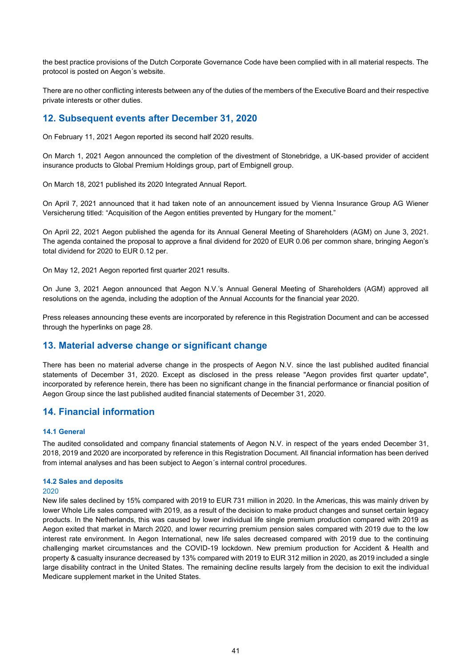the best practice provisions of the Dutch Corporate Governance Code have been complied with in all material respects. The protocol is posted on Aegon´s website.

There are no other conflicting interests between any of the duties of the members of the Executive Board and their respective private interests or other duties.

# **12. Subsequent events after December 31, 2020**

On February 11, 2021 Aegon reported its second half 2020 results.

On March 1, 2021 Aegon announced the completion of the divestment of Stonebridge, a UK-based provider of accident insurance products to Global Premium Holdings group, part of Embignell group.

On March 18, 2021 published its 2020 Integrated Annual Report.

On April 7, 2021 announced that it had taken note of an announcement issued by Vienna Insurance Group AG Wiener Versicherung titled: "Acquisition of the Aegon entities prevented by Hungary for the moment."

On April 22, 2021 Aegon published the agenda for its Annual General Meeting of Shareholders (AGM) on June 3, 2021. The agenda contained the proposal to approve a final dividend for 2020 of EUR 0.06 per common share, bringing Aegon's total dividend for 2020 to EUR 0.12 per.

On May 12, 2021 Aegon reported first quarter 2021 results.

On June 3, 2021 Aegon announced that Aegon N.V.'s Annual General Meeting of Shareholders (AGM) approved all resolutions on the agenda, including the adoption of the Annual Accounts for the financial year 2020.

Press releases announcing these events are incorporated by reference in this Registration Document and can be accessed through the hyperlinks on page 28.

# **13. Material adverse change or significant change**

There has been no material adverse change in the prospects of Aegon N.V. since the last published audited financial statements of December 31, 2020. Except as disclosed in the press release "Aegon provides first quarter update", incorporated by reference herein, there has been no significant change in the financial performance or financial position of Aegon Group since the last published audited financial statements of December 31, 2020.

# **14. Financial information**

## **14.1 General**

The audited consolidated and company financial statements of Aegon N.V. in respect of the years ended December 31, 2018, 2019 and 2020 are incorporated by reference in this Registration Document. All financial information has been derived from internal analyses and has been subject to Aegon´s internal control procedures.

# **14.2 Sales and deposits**

# 2020

New life sales declined by 15% compared with 2019 to EUR 731 million in 2020. In the Americas, this was mainly driven by lower Whole Life sales compared with 2019, as a result of the decision to make product changes and sunset certain legacy products. In the Netherlands, this was caused by lower individual life single premium production compared with 2019 as Aegon exited that market in March 2020, and lower recurring premium pension sales compared with 2019 due to the low interest rate environment. In Aegon International, new life sales decreased compared with 2019 due to the continuing challenging market circumstances and the COVID-19 lockdown. New premium production for Accident & Health and property & casualty insurance decreased by 13% compared with 2019 to EUR 312 million in 2020, as 2019 included a single large disability contract in the United States. The remaining decline results largely from the decision to exit the individual Medicare supplement market in the United States.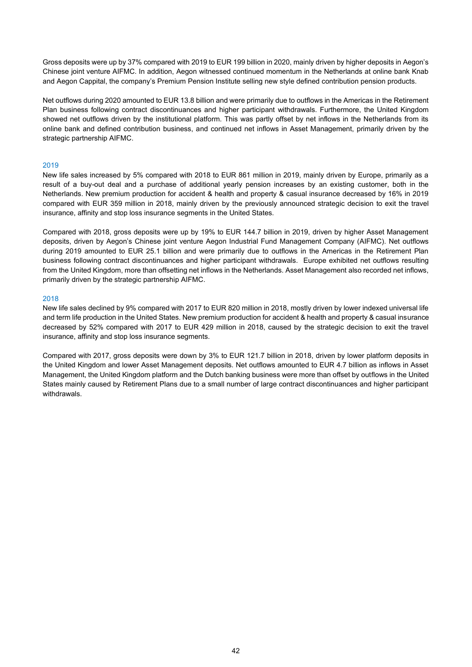Gross deposits were up by 37% compared with 2019 to EUR 199 billion in 2020, mainly driven by higher deposits in Aegon's Chinese joint venture AIFMC. In addition, Aegon witnessed continued momentum in the Netherlands at online bank Knab and Aegon Cappital, the company's Premium Pension Institute selling new style defined contribution pension products.

Net outflows during 2020 amounted to EUR 13.8 billion and were primarily due to outflows in the Americas in the Retirement Plan business following contract discontinuances and higher participant withdrawals. Furthermore, the United Kingdom showed net outflows driven by the institutional platform. This was partly offset by net inflows in the Netherlands from its online bank and defined contribution business, and continued net inflows in Asset Management, primarily driven by the strategic partnership AIFMC.

#### 2019

New life sales increased by 5% compared with 2018 to EUR 861 million in 2019, mainly driven by Europe, primarily as a result of a buy-out deal and a purchase of additional yearly pension increases by an existing customer, both in the Netherlands. New premium production for accident & health and property & casual insurance decreased by 16% in 2019 compared with EUR 359 million in 2018, mainly driven by the previously announced strategic decision to exit the travel insurance, affinity and stop loss insurance segments in the United States.

Compared with 2018, gross deposits were up by 19% to EUR 144.7 billion in 2019, driven by higher Asset Management deposits, driven by Aegon's Chinese joint venture Aegon Industrial Fund Management Company (AIFMC). Net outflows during 2019 amounted to EUR 25.1 billion and were primarily due to outflows in the Americas in the Retirement Plan business following contract discontinuances and higher participant withdrawals. Europe exhibited net outflows resulting from the United Kingdom, more than offsetting net inflows in the Netherlands. Asset Management also recorded net inflows, primarily driven by the strategic partnership AIFMC.

#### 2018

New life sales declined by 9% compared with 2017 to EUR 820 million in 2018, mostly driven by lower indexed universal life and term life production in the United States. New premium production for accident & health and property & casual insurance decreased by 52% compared with 2017 to EUR 429 million in 2018, caused by the strategic decision to exit the travel insurance, affinity and stop loss insurance segments.

Compared with 2017, gross deposits were down by 3% to EUR 121.7 billion in 2018, driven by lower platform deposits in the United Kingdom and lower Asset Management deposits. Net outflows amounted to EUR 4.7 billion as inflows in Asset Management, the United Kingdom platform and the Dutch banking business were more than offset by outflows in the United States mainly caused by Retirement Plans due to a small number of large contract discontinuances and higher participant withdrawals.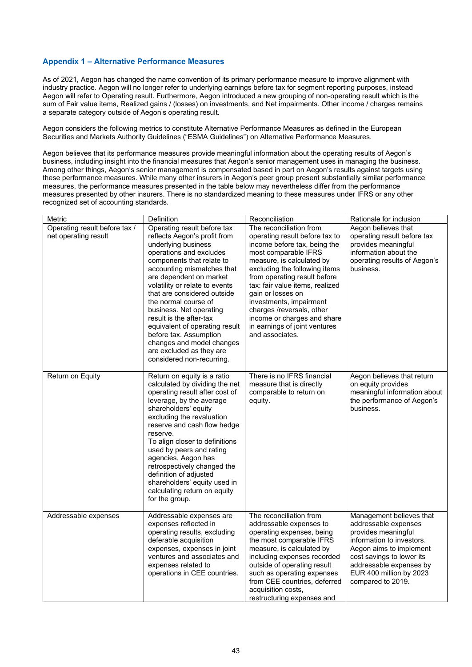# **Appendix 1 – Alternative Performance Measures**

As of 2021, Aegon has changed the name convention of its primary performance measure to improve alignment with industry practice. Aegon will no longer refer to underlying earnings before tax for segment reporting purposes, instead Aegon will refer to Operating result. Furthermore, Aegon introduced a new grouping of non-operating result which is the sum of Fair value items, Realized gains / (losses) on investments, and Net impairments. Other income / charges remains a separate category outside of Aegon's operating result.

Aegon considers the following metrics to constitute Alternative Performance Measures as defined in the European Securities and Markets Authority Guidelines ("ESMA Guidelines") on Alternative Performance Measures.

Aegon believes that its performance measures provide meaningful information about the operating results of Aegon's business, including insight into the financial measures that Aegon's senior management uses in managing the business. Among other things, Aegon's senior management is compensated based in part on Aegon's results against targets using these performance measures. While many other insurers in Aegon's peer group present substantially similar performance measures, the performance measures presented in the table below may nevertheless differ from the performance measures presented by other insurers. There is no standardized meaning to these measures under IFRS or any other recognized set of accounting standards.

| Metric                        | Definition                                                 | Reconciliation                                               | Rationale for inclusion                              |
|-------------------------------|------------------------------------------------------------|--------------------------------------------------------------|------------------------------------------------------|
| Operating result before tax / | Operating result before tax                                | The reconciliation from                                      | Aegon believes that                                  |
| net operating result          | reflects Aegon's profit from                               | operating result before tax to                               | operating result before tax                          |
|                               | underlying business<br>operations and excludes             | income before tax, being the<br>most comparable IFRS         | provides meaningful<br>information about the         |
|                               | components that relate to                                  | measure, is calculated by                                    | operating results of Aegon's                         |
|                               | accounting mismatches that                                 | excluding the following items                                | business.                                            |
|                               | are dependent on market                                    | from operating result before                                 |                                                      |
|                               | volatility or relate to events                             | tax: fair value items, realized                              |                                                      |
|                               | that are considered outside                                | gain or losses on                                            |                                                      |
|                               | the normal course of                                       | investments, impairment                                      |                                                      |
|                               | business. Net operating<br>result is the after-tax         | charges /reversals, other                                    |                                                      |
|                               | equivalent of operating result                             | income or charges and share<br>in earnings of joint ventures |                                                      |
|                               | before tax. Assumption                                     | and associates.                                              |                                                      |
|                               | changes and model changes                                  |                                                              |                                                      |
|                               | are excluded as they are                                   |                                                              |                                                      |
|                               | considered non-recurring.                                  |                                                              |                                                      |
| Return on Equity              | Return on equity is a ratio                                | There is no IFRS financial                                   | Aegon believes that return                           |
|                               | calculated by dividing the net                             | measure that is directly                                     | on equity provides                                   |
|                               | operating result after cost of                             | comparable to return on                                      | meaningful information about                         |
|                               | leverage, by the average                                   | equity.                                                      | the performance of Aegon's                           |
|                               | shareholders' equity                                       |                                                              | business.                                            |
|                               | excluding the revaluation                                  |                                                              |                                                      |
|                               | reserve and cash flow hedge<br>reserve.                    |                                                              |                                                      |
|                               | To align closer to definitions                             |                                                              |                                                      |
|                               | used by peers and rating                                   |                                                              |                                                      |
|                               | agencies, Aegon has                                        |                                                              |                                                      |
|                               | retrospectively changed the                                |                                                              |                                                      |
|                               | definition of adjusted                                     |                                                              |                                                      |
|                               | shareholders' equity used in                               |                                                              |                                                      |
|                               | calculating return on equity<br>for the group.             |                                                              |                                                      |
|                               |                                                            |                                                              |                                                      |
| Addressable expenses          | Addressable expenses are                                   | The reconciliation from                                      | Management believes that                             |
|                               | expenses reflected in                                      | addressable expenses to                                      | addressable expenses                                 |
|                               | operating results, excluding                               | operating expenses, being                                    | provides meaningful                                  |
|                               | deferable acquisition                                      | the most comparable IFRS                                     | information to investors.                            |
|                               | expenses, expenses in joint<br>ventures and associates and | measure, is calculated by<br>including expenses recorded     | Aegon aims to implement<br>cost savings to lower its |
|                               | expenses related to                                        | outside of operating result                                  | addressable expenses by                              |
|                               | operations in CEE countries.                               | such as operating expenses                                   | EUR 400 million by 2023                              |
|                               |                                                            | from CEE countries, deferred                                 | compared to 2019.                                    |
|                               |                                                            | acquisition costs,                                           |                                                      |
|                               |                                                            | restructuring expenses and                                   |                                                      |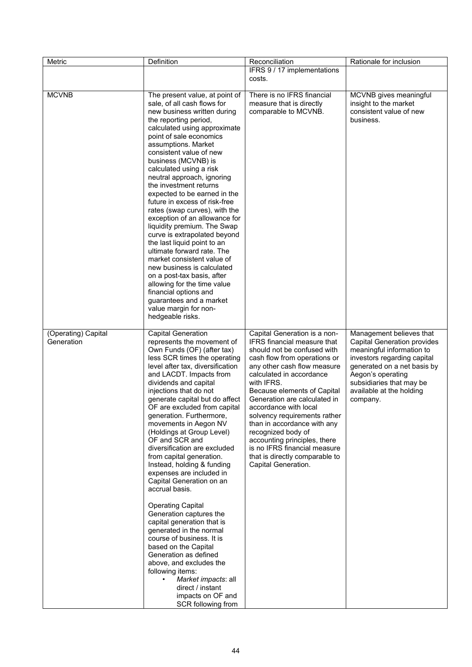| Metric                            | Definition                                                                                                                                                                                                                                                                                                                                                                                                                                                                                                                                                                                                                                                                                                                                                                                                                                                                                                           | Reconciliation                                                                                                                                                                                                                                                                                                                                                                                                                                                                                            | Rationale for inclusion                                                                                                                                                                                                                            |
|-----------------------------------|----------------------------------------------------------------------------------------------------------------------------------------------------------------------------------------------------------------------------------------------------------------------------------------------------------------------------------------------------------------------------------------------------------------------------------------------------------------------------------------------------------------------------------------------------------------------------------------------------------------------------------------------------------------------------------------------------------------------------------------------------------------------------------------------------------------------------------------------------------------------------------------------------------------------|-----------------------------------------------------------------------------------------------------------------------------------------------------------------------------------------------------------------------------------------------------------------------------------------------------------------------------------------------------------------------------------------------------------------------------------------------------------------------------------------------------------|----------------------------------------------------------------------------------------------------------------------------------------------------------------------------------------------------------------------------------------------------|
|                                   |                                                                                                                                                                                                                                                                                                                                                                                                                                                                                                                                                                                                                                                                                                                                                                                                                                                                                                                      | IFRS 9 / 17 implementations<br>costs.                                                                                                                                                                                                                                                                                                                                                                                                                                                                     |                                                                                                                                                                                                                                                    |
| <b>MCVNB</b>                      | The present value, at point of<br>sale, of all cash flows for<br>new business written during<br>the reporting period,<br>calculated using approximate<br>point of sale economics<br>assumptions. Market<br>consistent value of new<br>business (MCVNB) is<br>calculated using a risk<br>neutral approach, ignoring<br>the investment returns<br>expected to be earned in the<br>future in excess of risk-free<br>rates (swap curves), with the<br>exception of an allowance for<br>liquidity premium. The Swap<br>curve is extrapolated beyond<br>the last liquid point to an<br>ultimate forward rate. The<br>market consistent value of<br>new business is calculated<br>on a post-tax basis, after<br>allowing for the time value<br>financial options and<br>guarantees and a market<br>value margin for non-<br>hedgeable risks.                                                                                | There is no IFRS financial<br>measure that is directly<br>comparable to MCVNB.                                                                                                                                                                                                                                                                                                                                                                                                                            | MCVNB gives meaningful<br>insight to the market<br>consistent value of new<br>business.                                                                                                                                                            |
| (Operating) Capital<br>Generation | <b>Capital Generation</b><br>represents the movement of<br>Own Funds (OF) (after tax)<br>less SCR times the operating<br>level after tax, diversification<br>and LACDT. Impacts from<br>dividends and capital<br>injections that do not<br>generate capital but do affect<br>OF are excluded from capital<br>generation. Furthermore,<br>movements in Aegon NV<br>(Holdings at Group Level)<br>OF and SCR and<br>diversification are excluded<br>from capital generation.<br>Instead, holding & funding<br>expenses are included in<br>Capital Generation on an<br>accrual basis.<br><b>Operating Capital</b><br>Generation captures the<br>capital generation that is<br>generated in the normal<br>course of business. It is<br>based on the Capital<br>Generation as defined<br>above, and excludes the<br>following items:<br>Market impacts: all<br>direct / instant<br>impacts on OF and<br>SCR following from | Capital Generation is a non-<br>IFRS financial measure that<br>should not be confused with<br>cash flow from operations or<br>any other cash flow measure<br>calculated in accordance<br>with IFRS.<br>Because elements of Capital<br>Generation are calculated in<br>accordance with local<br>solvency requirements rather<br>than in accordance with any<br>recognized body of<br>accounting principles, there<br>is no IFRS financial measure<br>that is directly comparable to<br>Capital Generation. | Management believes that<br><b>Capital Generation provides</b><br>meaningful information to<br>investors regarding capital<br>generated on a net basis by<br>Aegon's operating<br>subsidiaries that may be<br>available at the holding<br>company. |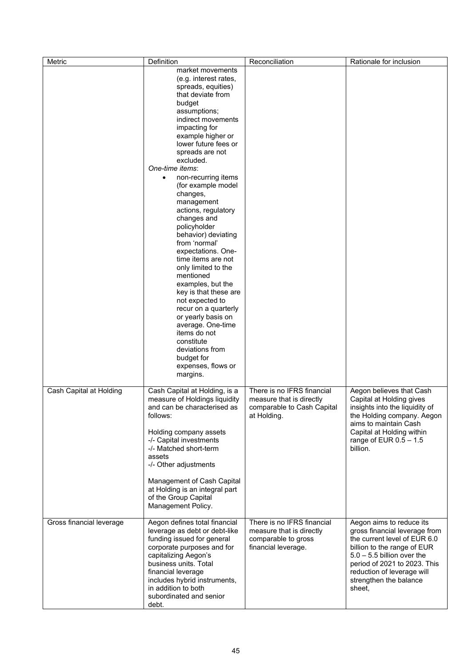| Metric                   | Definition                                                                                                                                                                                                                                                                                                                                                                                                                                                                                                                                                                                                                                                                                                                                                   | Reconciliation                                                                                       | Rationale for inclusion                                                                                                                                                                                                                                    |
|--------------------------|--------------------------------------------------------------------------------------------------------------------------------------------------------------------------------------------------------------------------------------------------------------------------------------------------------------------------------------------------------------------------------------------------------------------------------------------------------------------------------------------------------------------------------------------------------------------------------------------------------------------------------------------------------------------------------------------------------------------------------------------------------------|------------------------------------------------------------------------------------------------------|------------------------------------------------------------------------------------------------------------------------------------------------------------------------------------------------------------------------------------------------------------|
|                          | market movements<br>(e.g. interest rates,<br>spreads, equities)<br>that deviate from<br>budget<br>assumptions;<br>indirect movements<br>impacting for<br>example higher or<br>lower future fees or<br>spreads are not<br>excluded.<br>One-time items:<br>non-recurring items<br>$\bullet$<br>(for example model<br>changes,<br>management<br>actions, regulatory<br>changes and<br>policyholder<br>behavior) deviating<br>from 'normal'<br>expectations. One-<br>time items are not<br>only limited to the<br>mentioned<br>examples, but the<br>key is that these are<br>not expected to<br>recur on a quarterly<br>or yearly basis on<br>average. One-time<br>items do not<br>constitute<br>deviations from<br>budget for<br>expenses, flows or<br>margins. |                                                                                                      |                                                                                                                                                                                                                                                            |
| Cash Capital at Holding  | Cash Capital at Holding, is a<br>measure of Holdings liquidity<br>and can be characterised as<br>follows:<br>Holding company assets<br>-/- Capital investments<br>-/- Matched short-term<br>assets<br>-/- Other adjustments<br>Management of Cash Capital<br>at Holding is an integral part<br>of the Group Capital<br>Management Policy.                                                                                                                                                                                                                                                                                                                                                                                                                    | There is no IFRS financial<br>measure that is directly<br>comparable to Cash Capital<br>at Holding.  | Aegon believes that Cash<br>Capital at Holding gives<br>insights into the liquidity of<br>the Holding company. Aegon<br>aims to maintain Cash<br>Capital at Holding within<br>range of EUR $0.5 - 1.5$<br>billion.                                         |
| Gross financial leverage | Aegon defines total financial<br>leverage as debt or debt-like<br>funding issued for general<br>corporate purposes and for<br>capitalizing Aegon's<br>business units. Total<br>financial leverage<br>includes hybrid instruments,<br>in addition to both<br>subordinated and senior<br>debt.                                                                                                                                                                                                                                                                                                                                                                                                                                                                 | There is no IFRS financial<br>measure that is directly<br>comparable to gross<br>financial leverage. | Aegon aims to reduce its<br>gross financial leverage from<br>the current level of EUR 6.0<br>billion to the range of EUR<br>$5.0 - 5.5$ billion over the<br>period of 2021 to 2023. This<br>reduction of leverage will<br>strengthen the balance<br>sheet, |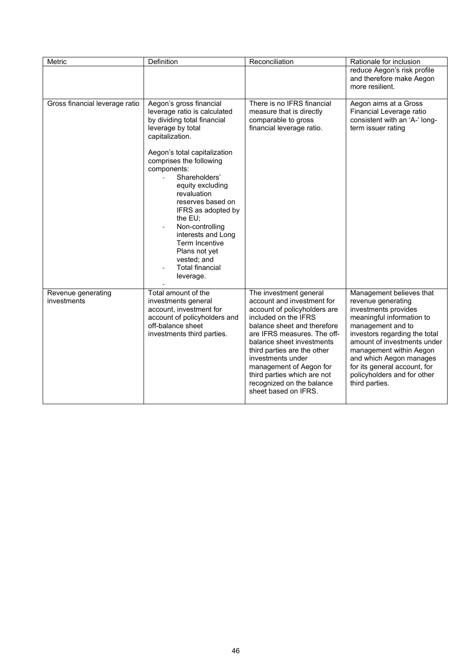| Metric                            | Definition                                                                                                                                                                                                                                                                                                                                                                                                                                             | Reconciliation                                                                                                                                                                                                                                                                                                                                                             | Rationale for inclusion                                                                                                                                                                                                                                                                                                         |
|-----------------------------------|--------------------------------------------------------------------------------------------------------------------------------------------------------------------------------------------------------------------------------------------------------------------------------------------------------------------------------------------------------------------------------------------------------------------------------------------------------|----------------------------------------------------------------------------------------------------------------------------------------------------------------------------------------------------------------------------------------------------------------------------------------------------------------------------------------------------------------------------|---------------------------------------------------------------------------------------------------------------------------------------------------------------------------------------------------------------------------------------------------------------------------------------------------------------------------------|
|                                   |                                                                                                                                                                                                                                                                                                                                                                                                                                                        |                                                                                                                                                                                                                                                                                                                                                                            | reduce Aegon's risk profile<br>and therefore make Aegon<br>more resilient.                                                                                                                                                                                                                                                      |
| Gross financial leverage ratio    | Aegon's gross financial<br>leverage ratio is calculated<br>by dividing total financial<br>leverage by total<br>capitalization.<br>Aegon's total capitalization<br>comprises the following<br>components:<br>Shareholders'<br>equity excluding<br>revaluation<br>reserves based on<br>IFRS as adopted by<br>the $EU;$<br>Non-controlling<br>interests and Long<br>Term Incentive<br>Plans not yet<br>vested; and<br><b>Total financial</b><br>leverage. | There is no IFRS financial<br>measure that is directly<br>comparable to gross<br>financial leverage ratio.                                                                                                                                                                                                                                                                 | Aegon aims at a Gross<br>Financial Leverage ratio<br>consistent with an 'A-' long-<br>term issuer rating                                                                                                                                                                                                                        |
| Revenue generating<br>investments | Total amount of the<br>investments general<br>account, investment for<br>account of policyholders and<br>off-balance sheet<br>investments third parties.                                                                                                                                                                                                                                                                                               | The investment general<br>account and investment for<br>account of policyholders are<br>included on the IFRS<br>balance sheet and therefore<br>are IFRS measures. The off-<br>balance sheet investments<br>third parties are the other<br>investments under<br>management of Aegon for<br>third parties which are not<br>recognized on the balance<br>sheet based on IFRS. | Management believes that<br>revenue generating<br>investments provides<br>meaningful information to<br>management and to<br>investors regarding the total<br>amount of investments under<br>management within Aegon<br>and which Aegon manages<br>for its general account, for<br>policyholders and for other<br>third parties. |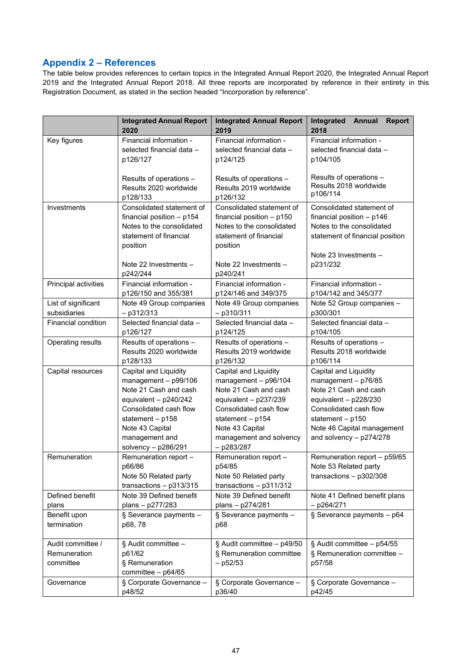# **Appendix 2 – References**

The table below provides references to certain topics in the Integrated Annual Report 2020, the Integrated Annual Report 2019 and the Integrated Annual Report 2018. All three reports are incorporated by reference in their entirety in this Registration Document, as stated in the section headed "Incorporation by reference".

|                                                | <b>Integrated Annual Report</b><br>2020                                                                                                                                                                           | <b>Integrated Annual Report</b><br>2019                                                                                                                                                                         | Integrated<br><b>Report</b><br>Annual<br>2018                                                                                                                                                                 |
|------------------------------------------------|-------------------------------------------------------------------------------------------------------------------------------------------------------------------------------------------------------------------|-----------------------------------------------------------------------------------------------------------------------------------------------------------------------------------------------------------------|---------------------------------------------------------------------------------------------------------------------------------------------------------------------------------------------------------------|
| Key figures                                    | Financial information -                                                                                                                                                                                           | Financial information -                                                                                                                                                                                         | Financial information -                                                                                                                                                                                       |
|                                                | selected financial data -                                                                                                                                                                                         | selected financial data -                                                                                                                                                                                       | selected financial data -                                                                                                                                                                                     |
|                                                | p126/127                                                                                                                                                                                                          | p124/125                                                                                                                                                                                                        | p104/105                                                                                                                                                                                                      |
|                                                | Results of operations -                                                                                                                                                                                           | Results of operations -                                                                                                                                                                                         | Results of operations -                                                                                                                                                                                       |
|                                                | Results 2020 worldwide                                                                                                                                                                                            | Results 2019 worldwide                                                                                                                                                                                          | Results 2018 worldwide                                                                                                                                                                                        |
|                                                | p128/133                                                                                                                                                                                                          | p126/132                                                                                                                                                                                                        | p106/114                                                                                                                                                                                                      |
| Investments                                    | Consolidated statement of                                                                                                                                                                                         | Consolidated statement of                                                                                                                                                                                       | Consolidated statement of                                                                                                                                                                                     |
|                                                | financial position - p154                                                                                                                                                                                         | financial position $- p150$                                                                                                                                                                                     | financial position $- p146$                                                                                                                                                                                   |
|                                                | Notes to the consolidated                                                                                                                                                                                         | Notes to the consolidated                                                                                                                                                                                       | Notes to the consolidated                                                                                                                                                                                     |
|                                                | statement of financial                                                                                                                                                                                            | statement of financial                                                                                                                                                                                          | statement of financial position                                                                                                                                                                               |
|                                                | position                                                                                                                                                                                                          | position                                                                                                                                                                                                        | Note 23 Investments $-$                                                                                                                                                                                       |
|                                                | Note 22 Investments $-$<br>p242/244                                                                                                                                                                               | Note 22 Investments -<br>p240/241                                                                                                                                                                               | p231/232                                                                                                                                                                                                      |
| Principal activities                           | Financial information -                                                                                                                                                                                           | Financial information -                                                                                                                                                                                         | Financial information -                                                                                                                                                                                       |
|                                                | p126/150 and 355/381                                                                                                                                                                                              | p124/146 and 349/375                                                                                                                                                                                            | p104/142 and 345/377                                                                                                                                                                                          |
| List of significant                            | Note 49 Group companies                                                                                                                                                                                           | Note 49 Group companies                                                                                                                                                                                         | Note 52 Group companies -                                                                                                                                                                                     |
| subsidiaries                                   | $-$ p312/313                                                                                                                                                                                                      | $-$ p310/311                                                                                                                                                                                                    | p300/301                                                                                                                                                                                                      |
| <b>Financial condition</b>                     | Selected financial data -                                                                                                                                                                                         | Selected financial data -                                                                                                                                                                                       | Selected financial data -                                                                                                                                                                                     |
|                                                | p126/127                                                                                                                                                                                                          | p124/125                                                                                                                                                                                                        | p104/105                                                                                                                                                                                                      |
| Operating results                              | Results of operations -                                                                                                                                                                                           | Results of operations -                                                                                                                                                                                         | Results of operations -                                                                                                                                                                                       |
|                                                | Results 2020 worldwide                                                                                                                                                                                            | Results 2019 worldwide                                                                                                                                                                                          | Results 2018 worldwide                                                                                                                                                                                        |
|                                                | p128/133                                                                                                                                                                                                          | p126/132                                                                                                                                                                                                        | p106/114                                                                                                                                                                                                      |
| Capital resources                              | Capital and Liquidity<br>$management - p99/106$<br>Note 21 Cash and cash<br>equivalent - $p240/242$<br>Consolidated cash flow<br>statement $- p158$<br>Note 43 Capital<br>management and<br>solvency $-$ p286/291 | Capital and Liquidity<br>management $-$ p96/104<br>Note 21 Cash and cash<br>equivalent $-$ p237/239<br>Consolidated cash flow<br>statement - p154<br>Note 43 Capital<br>management and solvency<br>$-$ p283/287 | Capital and Liquidity<br>management $-$ p76/85<br>Note 21 Cash and cash<br>equivalent $-$ p228/230<br>Consolidated cash flow<br>statement $- p150$<br>Note 46 Capital management<br>and solvency $-$ p274/278 |
| Remuneration                                   | Remuneration report -<br>p66/86<br>Note 50 Related party<br>transactions $-$ p313/315                                                                                                                             | Remuneration report -<br>p54/85<br>Note 50 Related party<br>transactions $-$ p311/312                                                                                                                           | Remuneration report - p59/65<br>Note 53 Related party<br>transactions $-$ p302/308                                                                                                                            |
| Defined benefit                                | Note 39 Defined benefit                                                                                                                                                                                           | Note 39 Defined benefit                                                                                                                                                                                         | Note 41 Defined benefit plans                                                                                                                                                                                 |
| plans                                          | plans - p277/283                                                                                                                                                                                                  | plans - p274/281                                                                                                                                                                                                | $-$ p264/271                                                                                                                                                                                                  |
| Benefit upon                                   | § Severance payments -                                                                                                                                                                                            | § Severance payments -                                                                                                                                                                                          | § Severance payments $-$ p64                                                                                                                                                                                  |
| termination                                    | p68, 78                                                                                                                                                                                                           | p68                                                                                                                                                                                                             |                                                                                                                                                                                                               |
| Audit committee /<br>Remuneration<br>committee | § Audit committee -<br>p61/62<br>§ Remuneration<br>committee - p64/65                                                                                                                                             | § Audit committee - p49/50<br>§ Remuneration committee<br>$-$ p52/53                                                                                                                                            | § Audit committee - p54/55<br>§ Remuneration committee -<br>p57/58                                                                                                                                            |
| Governance                                     | § Corporate Governance -                                                                                                                                                                                          | § Corporate Governance -                                                                                                                                                                                        | § Corporate Governance -                                                                                                                                                                                      |
|                                                | p48/52                                                                                                                                                                                                            | p36/40                                                                                                                                                                                                          | p42/45                                                                                                                                                                                                        |